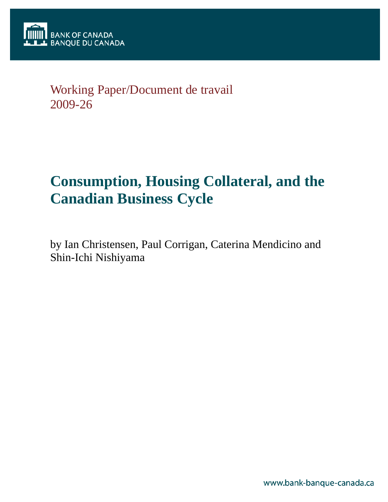## Working Paper/Document de travail 2009-26

# **Consumption, Housing Collateral, and the Canadian Business Cycle**

by Ian Christensen, Paul Corrigan, Caterina Mendicino and Shin-Ichi Nishiyama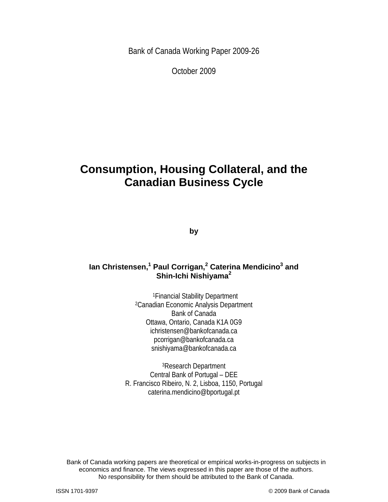Bank of Canada Working Paper 2009-26

October 2009

## **Consumption, Housing Collateral, and the Canadian Business Cycle**

**by** 

### **Ian Christensen,<sup>1</sup> Paul Corrigan,<sup>2</sup> Caterina Mendicino3 and Shin-Ichi Nishiyama<sup>2</sup>**

1Financial Stability Department 2Canadian Economic Analysis Department Bank of Canada Ottawa, Ontario, Canada K1A 0G9 ichristensen@bankofcanada.ca pcorrigan@bankofcanada.ca snishiyama@bankofcanada.ca

3Research Department Central Bank of Portugal – DEE R. Francisco Ribeiro, N. 2, Lisboa, 1150, Portugal caterina.mendicino@bportugal.pt

2 No responsibility for them should be attributed to the Bank of Canada. Bank of Canada working papers are theoretical or empirical works-in-progress on subjects in economics and finance. The views expressed in this paper are those of the authors.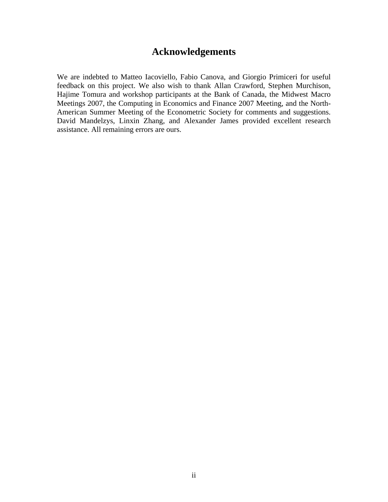### **Acknowledgements**

We are indebted to Matteo Iacoviello, Fabio Canova, and Giorgio Primiceri for useful feedback on this project. We also wish to thank Allan Crawford, Stephen Murchison, Hajime Tomura and workshop participants at the Bank of Canada, the Midwest Macro Meetings 2007, the Computing in Economics and Finance 2007 Meeting, and the North-American Summer Meeting of the Econometric Society for comments and suggestions. David Mandelzys, Linxin Zhang, and Alexander James provided excellent research assistance. All remaining errors are ours.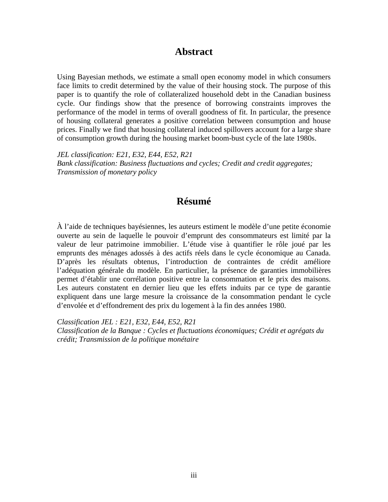### **Abstract**

Using Bayesian methods, we estimate a small open economy model in which consumers face limits to credit determined by the value of their housing stock. The purpose of this paper is to quantify the role of collateralized household debt in the Canadian business cycle. Our findings show that the presence of borrowing constraints improves the performance of the model in terms of overall goodness of fit. In particular, the presence of housing collateral generates a positive correlation between consumption and house prices. Finally we find that housing collateral induced spillovers account for a large share of consumption growth during the housing market boom-bust cycle of the late 1980s.

*JEL classification: E21, E32, E44, E52, R21 Bank classification: Business fluctuations and cycles; Credit and credit aggregates; Transmission of monetary policy* 

### **Résumé**

À l'aide de techniques bayésiennes, les auteurs estiment le modèle d'une petite économie ouverte au sein de laquelle le pouvoir d'emprunt des consommateurs est limité par la valeur de leur patrimoine immobilier. L'étude vise à quantifier le rôle joué par les emprunts des ménages adossés à des actifs réels dans le cycle économique au Canada. D'après les résultats obtenus, l'introduction de contraintes de crédit améliore l'adéquation générale du modèle. En particulier, la présence de garanties immobilières permet d'établir une corrélation positive entre la consommation et le prix des maisons. Les auteurs constatent en dernier lieu que les effets induits par ce type de garantie expliquent dans une large mesure la croissance de la consommation pendant le cycle d'envolée et d'effondrement des prix du logement à la fin des années 1980.

*Classification JEL : E21, E32, E44, E52, R21 Classification de la Banque : Cycles et fluctuations économiques; Crédit et agrégats du crédit; Transmission de la politique monétaire*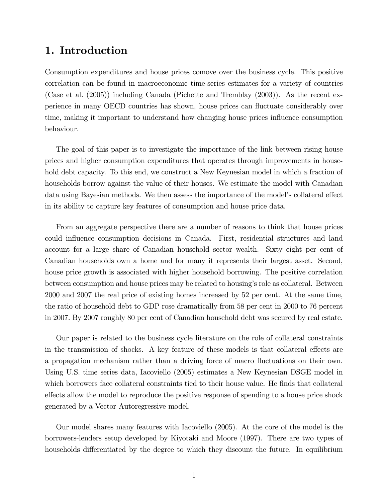### 1. Introduction

Consumption expenditures and house prices comove over the business cycle. This positive correlation can be found in macroeconomic time-series estimates for a variety of countries (Case et al. (2005)) including Canada (Pichette and Tremblay (2003)). As the recent experience in many OECD countries has shown, house prices can áuctuate considerably over time, making it important to understand how changing house prices influence consumption behaviour.

The goal of this paper is to investigate the importance of the link between rising house prices and higher consumption expenditures that operates through improvements in household debt capacity. To this end, we construct a New Keynesian model in which a fraction of households borrow against the value of their houses. We estimate the model with Canadian data using Bayesian methods. We then assess the importance of the model's collateral effect in its ability to capture key features of consumption and house price data.

From an aggregate perspective there are a number of reasons to think that house prices could influence consumption decisions in Canada. First, residential structures and land account for a large share of Canadian household sector wealth. Sixty eight per cent of Canadian households own a home and for many it represents their largest asset. Second, house price growth is associated with higher household borrowing. The positive correlation between consumption and house prices may be related to housing's role as collateral. Between 2000 and 2007 the real price of existing homes increased by 52 per cent. At the same time, the ratio of household debt to GDP rose dramatically from 58 per cent in 2000 to 76 percent in 2007. By 2007 roughly 80 per cent of Canadian household debt was secured by real estate.

Our paper is related to the business cycle literature on the role of collateral constraints in the transmission of shocks. A key feature of these models is that collateral effects are a propagation mechanism rather than a driving force of macro fluctuations on their own. Using U.S. time series data, Iacoviello (2005) estimates a New Keynesian DSGE model in which borrowers face collateral constraints tied to their house value. He finds that collateral effects allow the model to reproduce the positive response of spending to a house price shock generated by a Vector Autoregressive model.

Our model shares many features with Iacoviello (2005). At the core of the model is the borrowers-lenders setup developed by Kiyotaki and Moore (1997). There are two types of households differentiated by the degree to which they discount the future. In equilibrium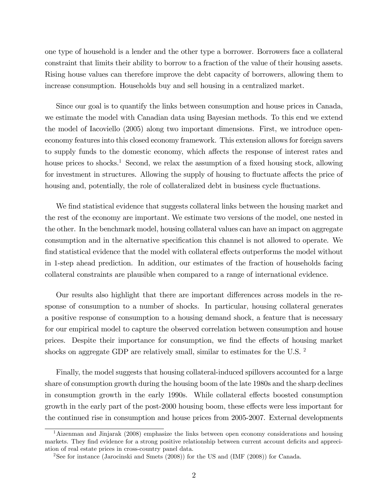one type of household is a lender and the other type a borrower. Borrowers face a collateral constraint that limits their ability to borrow to a fraction of the value of their housing assets. Rising house values can therefore improve the debt capacity of borrowers, allowing them to increase consumption. Households buy and sell housing in a centralized market.

Since our goal is to quantify the links between consumption and house prices in Canada, we estimate the model with Canadian data using Bayesian methods. To this end we extend the model of Iacoviello (2005) along two important dimensions. First, we introduce openeconomy features into this closed economy framework. This extension allows for foreign savers to supply funds to the domestic economy, which affects the response of interest rates and house prices to shocks.<sup>1</sup> Second, we relax the assumption of a fixed housing stock, allowing for investment in structures. Allowing the supply of housing to fluctuate affects the price of housing and, potentially, the role of collateralized debt in business cycle fluctuations.

We find statistical evidence that suggests collateral links between the housing market and the rest of the economy are important. We estimate two versions of the model, one nested in the other. In the benchmark model, housing collateral values can have an impact on aggregate consumption and in the alternative specification this channel is not allowed to operate. We find statistical evidence that the model with collateral effects outperforms the model without in 1-step ahead prediction. In addition, our estimates of the fraction of households facing collateral constraints are plausible when compared to a range of international evidence.

Our results also highlight that there are important differences across models in the response of consumption to a number of shocks. In particular, housing collateral generates a positive response of consumption to a housing demand shock, a feature that is necessary for our empirical model to capture the observed correlation between consumption and house prices. Despite their importance for consumption, we find the effects of housing market shocks on aggregate GDP are relatively small, similar to estimates for the U.S. <sup>2</sup>

Finally, the model suggests that housing collateral-induced spillovers accounted for a large share of consumption growth during the housing boom of the late 1980s and the sharp declines in consumption growth in the early 1990s. While collateral effects boosted consumption growth in the early part of the post-2000 housing boom, these effects were less important for the continued rise in consumption and house prices from 2005-2007. External developments

<sup>&</sup>lt;sup>1</sup>Aizenman and Jinjarak (2008) emphasize the links between open economy considerations and housing markets. They find evidence for a strong positive relationship between current account deficits and appreciation of real estate prices in cross-country panel data.

<sup>&</sup>lt;sup>2</sup>See for instance (Jarocinski and Smets  $(2008)$ ) for the US and  $(IMF (2008))$  for Canada.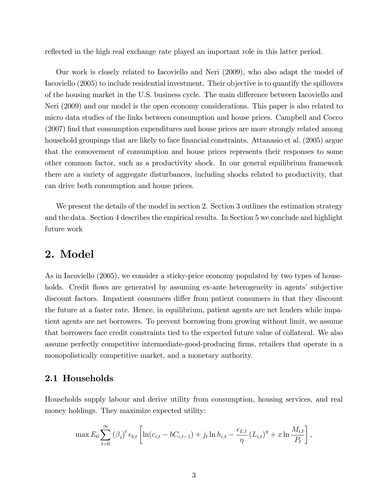reflected in the high real exchange rate played an important role in this latter period.

Our work is closely related to Iacoviello and Neri (2009), who also adapt the model of Iacoviello (2005) to include residential investment. Their objective is to quantify the spillovers of the housing market in the U.S. business cycle. The main difference between Iacoviello and Neri (2009) and our model is the open economy considerations. This paper is also related to micro data studies of the links between consumption and house prices. Campbell and Cocco (2007) Önd that consumption expenditures and house prices are more strongly related among household groupings that are likely to face financial constraints. Attanasio et al. (2005) argue that the comovement of consumption and house prices represents their responses to some other common factor, such as a productivity shock. In our general equilibrium framework there are a variety of aggregate disturbances, including shocks related to productivity, that can drive both consumption and house prices.

We present the details of the model in section 2. Section 3 outlines the estimation strategy and the data. Section 4 describes the empirical results. In Section 5 we conclude and highlight future work

### 2. Model

As in Iacoviello (2005), we consider a sticky-price economy populated by two types of households. Credit flows are generated by assuming ex-ante heterogeneity in agents' subjective discount factors. Impatient consumers differ from patient consumers in that they discount the future at a faster rate. Hence, in equilibrium, patient agents are net lenders while impatient agents are net borrowers. To prevent borrowing from growing without limit, we assume that borrowers face credit constraints tied to the expected future value of collateral. We also assume perfectly competitive intermediate-good-producing Örms, retailers that operate in a monopolistically competitive market, and a monetary authority.

#### 2.1 Households

Households supply labour and derive utility from consumption, housing services, and real money holdings. They maximize expected utility:

$$
\max E_0 \sum_{t=0}^{\infty} (\beta_i)^t \epsilon_{b,t} \left[ \ln(c_{i,t} - bC_{i,t-1}) + j_t \ln h_{i,t} - \frac{\epsilon_{L,t}}{\eta} (L_{i,t})^{\eta} + x \ln \frac{M_{i,t}}{P_t} \right],
$$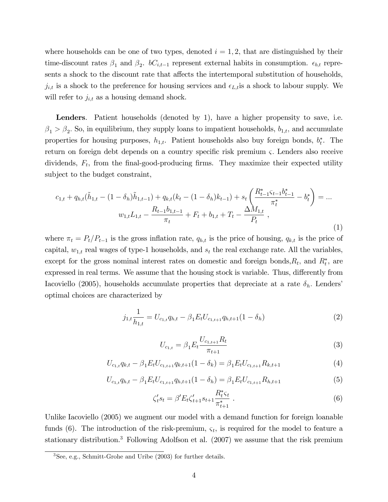where households can be one of two types, denoted  $i = 1, 2$ , that are distinguished by their time-discount rates  $\beta_1$  and  $\beta_2$ .  $bC_{i,t-1}$  represent external habits in consumption.  $\epsilon_{b,t}$  represents a shock to the discount rate that affects the intertemporal substitution of households,  $j_{i,t}$  is a shock to the preference for housing services and  $\epsilon_{L,t}$  is a shock to labour supply. We will refer to  $j_{i,t}$  as a housing demand shock.

Lenders. Patient households (denoted by 1), have a higher propensity to save, i.e.  $\beta_1 > \beta_2$ . So, in equilibrium, they supply loans to impatient households,  $b_{1,t}$ , and accumulate properties for housing purposes,  $h_{1,t}$ . Patient households also buy foreign bonds,  $b_t^*$ . The return on foreign debt depends on a country specific risk premium  $\varsigma$ . Lenders also receive dividends,  $F_t$ , from the final-good-producing firms. They maximize their expected utility subject to the budget constraint,

$$
c_{1,t} + q_{h,t}(\tilde{h}_{1,t} - (1 - \delta_h)\tilde{h}_{1,t-1}) + q_{k,t}(k_t - (1 - \delta_h)k_{t-1}) + s_t \left(\frac{R_{t-1}^* \varsigma_{t-1} b_{t-1}^*}{\pi_t^*} - b_t^*\right) = \dots
$$

$$
w_{1,t}L_{1,t} - \frac{R_{t-1}b_{1,t-1}}{\pi_t} + F_t + b_{1,t} + T_t - \frac{\Delta M_{1,t}}{P_t},
$$
\n(1)

where  $\pi_t = P_t/P_{t-1}$  is the gross inflation rate,  $q_{h,t}$  is the price of housing,  $q_{k,t}$  is the price of capital,  $w_{1,t}$  real wages of type-1 households, and  $s_t$  the real exchange rate. All the variables, except for the gross nominal interest rates on domestic and foreign bonds,  $R_t$ , and  $R_t^*$ , are expressed in real terms. We assume that the housing stock is variable. Thus, differently from Iacoviello (2005), households accumulate properties that depreciate at a rate  $\delta_h$ . Lenders' optimal choices are characterized by

$$
j_{1,t} \frac{1}{h_{1,t}} = U_{c_{1,t}} q_{h,t} - \beta_1 E_t U_{c_{1,t+1}} q_{h,t+1} (1 - \delta_h)
$$
\n(2)

$$
U_{c_{1,t}} = \beta_1 E_t \frac{U_{c_{1,t+1}} R_t}{\pi_{t+1}}
$$
\n(3)

$$
U_{c_{1,t}}q_{k,t} - \beta_1 E_t U_{c_{1,t+1}}q_{k,t+1}(1-\delta_k) = \beta_1 E_t U_{c_{1,t+1}} R_{k,t+1}
$$
\n
$$
\tag{4}
$$

$$
U_{c_{1,t}}q_{h,t} - \beta_1 E_t U_{c_{1,t+1}}q_{h,t+1}(1 - \delta_h) = \beta_1 E_t U_{c_{1,t+1}} R_{h,t+1}
$$
\n
$$
\tag{5}
$$

$$
\zeta_t's_t = \beta' E_t \zeta_{t+1}' s_{t+1} \frac{R_t^* \zeta_t}{\pi_{t+1}^*} \,. \tag{6}
$$

Unlike Iacoviello (2005) we augment our model with a demand function for foreign loanable funds (6). The introduction of the risk-premium,  $\varsigma_t$ , is required for the model to feature a stationary distribution.<sup>3</sup> Following Adolfson et al. (2007) we assume that the risk premium

<sup>3</sup>See, e.g., Schmitt-Grohe and Uribe (2003) for further details.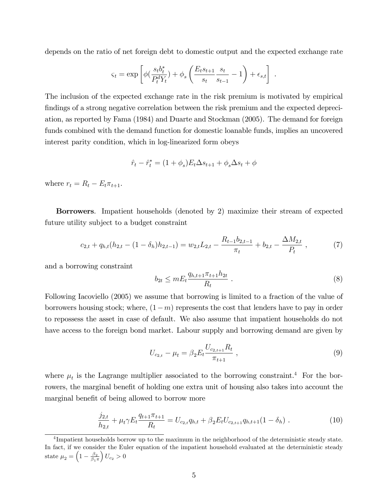depends on the ratio of net foreign debt to domestic output and the expected exchange rate

$$
\varsigma_t = \exp\left[\phi\left(\frac{s_t b_t^*}{P_t^d Y_t}\right) + \phi_s \left(\frac{E_t s_{t+1}}{s_t} \frac{s_t}{s_{t-1}} - 1\right) + \epsilon_{s,t}\right]
$$

The inclusion of the expected exchange rate in the risk premium is motivated by empirical findings of a strong negative correlation between the risk premium and the expected depreciation, as reported by Fama (1984) and Duarte and Stockman (2005). The demand for foreign funds combined with the demand function for domestic loanable funds, implies an uncovered interest parity condition, which in log-linearized form obeys

$$
\hat{r}_t - \hat{r}_t^* = (1 + \phi_s) E_t \Delta s_{t+1} + \phi_s \Delta s_t + \phi
$$

where  $r_t = R_t - E_t \pi_{t+1}$ .

Borrowers. Impatient households (denoted by 2) maximize their stream of expected future utility subject to a budget constraint

$$
c_{2,t} + q_{h,t}(h_{2,t} - (1 - \delta_h)h_{2,t-1}) = w_{2,t}L_{2,t} - \frac{R_{t-1}b_{2,t-1}}{\pi_t} + b_{2,t} - \frac{\Delta M_{2,t}}{P_t}, \qquad (7)
$$

and a borrowing constraint

$$
b_{2t} \le mE_t \frac{q_{h,t+1}\pi_{t+1}h_{2t}}{R_t} \tag{8}
$$

.

Following Iacoviello (2005) we assume that borrowing is limited to a fraction of the value of borrowers housing stock; where,  $(1-m)$  represents the cost that lenders have to pay in order to repossess the asset in case of default. We also assume that impatient households do not have access to the foreign bond market. Labour supply and borrowing demand are given by

$$
U_{c_{2,t}} - \mu_t = \beta_2 E_t \frac{U_{c_{2,t+1}} R_t}{\pi_{t+1}} \,, \tag{9}
$$

where  $\mu_t$  is the Lagrange multiplier associated to the borrowing constraint.<sup>4</sup> For the borrowers, the marginal benefit of holding one extra unit of housing also takes into account the marginal benefit of being allowed to borrow more

$$
\frac{j_{2,t}}{h_{2,t}} + \mu_t \gamma E_t \frac{q_{t+1} \pi_{t+1}}{R_t} = U_{c_{2,t}} q_{h,t} + \beta_2 E_t U_{c_{2,t+1}} q_{h,t+1} (1 - \delta_h) \tag{10}
$$

<sup>&</sup>lt;sup>4</sup>Impatient households borrow up to the maximum in the neighborhood of the deterministic steady state. In fact, if we consider the Euler equation of the impatient household evaluated at the deterministic steady state  $\mu_2 = \left(1 - \frac{\beta_2}{\beta_1},\right)$  $\beta_1$  $\pi$  $U_{c_2} > 0$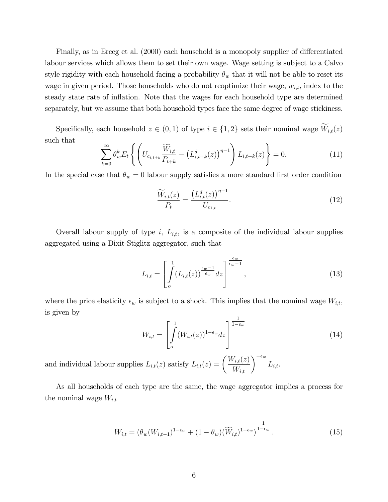Finally, as in Erceg et al. (2000) each household is a monopoly supplier of differentiated labour services which allows them to set their own wage. Wage setting is subject to a Calvo style rigidity with each household facing a probability  $\theta_w$  that it will not be able to reset its wage in given period. Those households who do not reoptimize their wage,  $w_{i,t}$ , index to the steady state rate of inflation. Note that the wages for each household type are determined separately, but we assume that both household types face the same degree of wage stickiness.

Specifically, each household  $z \in (0, 1)$  of type  $i \in \{1, 2\}$  sets their nominal wage  $\widetilde{W}_{i,t}(z)$ such that

$$
\sum_{k=0}^{\infty} \theta_w^k E_t \left\{ \left( U_{c_{i,t+k}} \frac{\widetilde{W}_{i,t}}{P_{t+k}} - \left( L_{i,t+k}^d(z) \right)^{\eta-1} \right) L_{i,t+k}(z) \right\} = 0.
$$
 (11)

In the special case that  $\theta_w = 0$  labour supply satisfies a more standard first order condition

$$
\frac{\widetilde{W}_{i,t}(z)}{P_t} = \frac{\left(L_{i,t}^d(z)\right)^{\eta - 1}}{U_{c_{1,t}}}.\tag{12}
$$

Overall labour supply of type  $i$ ,  $L_{i,t}$ , is a composite of the individual labour supplies aggregated using a Dixit-Stiglitz aggregator, such that

$$
L_{i,t} = \left[ \int\limits_{o}^{1} (L_{i,t}(z))^{\frac{\epsilon_w - 1}{\epsilon_w}} dz \right]^{\frac{\epsilon_w}{\epsilon_w - 1}}, \qquad (13)
$$

where the price elasticity  $\epsilon_w$  is subject to a shock. This implies that the nominal wage  $W_{i,t}$ , is given by

$$
W_{i,t} = \left[ \int\limits_{o}^{1} (W_{i,t}(z))^{1-\epsilon_w} dz \right]^{\frac{1}{1-\epsilon_w}}
$$
(14)

and individual labour supplies  $L_{i,t}(z)$  satisfy  $L_{i,t}(z) = \left(\frac{W_{i,t}(z)}{W_{i,t}}\right)^{-\epsilon_w}$  $L_{i,t}.$ 

As all households of each type are the same, the wage aggregator implies a process for the nominal wage  $W_{i,t}$ 

$$
W_{i,t} = (\theta_w(W_{i,t-1})^{1-\epsilon_w} + (1-\theta_w)(\widetilde{W}_{i,t})^{1-\epsilon_w})^{\frac{1}{1-\epsilon_w}}.
$$
\n(15)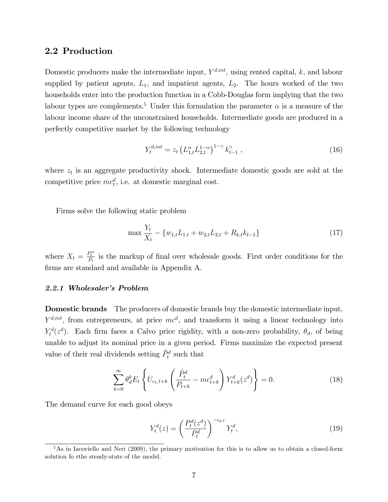#### 2.2 Production

Domestic producers make the intermediate input,  $Y^{d, int}$ , using rented capital, k, and labour supplied by patient agents,  $L_1$ , and impatient agents,  $L_2$ . The hours worked of the two households enter into the production function in a Cobb-Douglas form implying that the two labour types are complements.<sup>5</sup> Under this formulation the parameter  $\alpha$  is a measure of the labour income share of the unconstrained households. Intermediate goods are produced in a perfectly competitive market by the following technology

$$
Y_t^{d,int} = z_t \left( L_{1,t}^{\alpha} L_{2,t}^{1-\alpha} \right)^{1-\gamma} k_{t-1}^{\gamma} , \qquad (16)
$$

where  $z_t$  is an aggregate productivity shock. Intermediate domestic goods are sold at the competitive price  $mc_t^d$ , i.e. at domestic marginal cost.

Firms solve the following static problem

$$
\max \frac{Y_t}{X_t} - \{w_{1,t}L_{1,t} + w_{2,t}L_{2,t} + R_{k,t}k_{t-1}\}\tag{17}
$$

where  $X_t = \frac{P_t^w}{P_t}$  is the markup of final over wholesale goods. First order conditions for the firms are standard and available in Appendix A.

#### 2.2.1 Wholesaler's Problem

Domestic brands The producers of domestic brands buy the domestic intermediate input,  $Y^{d,int}$ , from entrepreneurs, at price  $mc^d$ , and transform it using a linear technology into  $Y_t^d(z^d)$ . Each firm faces a Calvo price rigidity, with a non-zero probability,  $\theta_d$ , of being unable to adjust its nominal price in a given period. Firms maximize the expected present value of their real dividends setting  $\tilde{P}^d_t$  such that

$$
\sum_{k=0}^{\infty} \theta_d^k E_t \left\{ U_{c_1, t+k} \left( \frac{\tilde{P}_t^d}{P_{t+k}} - mc_{t+k}^d \right) Y_{t+k}^d(z^d) \right\} = 0.
$$
 (18)

The demand curve for each good obeys

$$
Y_t^d(z) = \left(\frac{P_t^d(z^d)}{P_t^d}\right)^{-\epsilon_{p,t}} Y_t^d,\tag{19}
$$

 $5$ As in Iacoviello and Neri (2009), the primary motivation for this is to allow us to obtain a closed-form solution fo rthe steady-state of the model.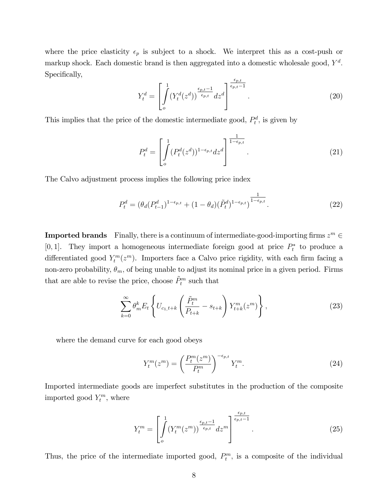where the price elasticity  $\epsilon_p$  is subject to a shock. We interpret this as a cost-push or markup shock. Each domestic brand is then aggregated into a domestic wholesale good,  $Y<sup>d</sup>$ . Specifically,

$$
Y_t^d = \left[ \int_0^1 (Y_t^d(z^d))^{\frac{\epsilon_{p,t}-1}{\epsilon_{p,t}}} dz^d \right]^{\frac{\epsilon_{p,t}}{\epsilon_{p,t}-1}}.
$$
\n(20)

This implies that the price of the domestic intermediate good,  $P_t^d$ , is given by

$$
P_t^d = \left[ \int_0^1 (P_t^d(z^d))^{1 - \epsilon_{p,t}} dz^d \right]^{\frac{1}{1 - \epsilon_{p,t}}}.
$$
 (21)

The Calvo adjustment process implies the following price index

$$
P_t^d = (\theta_d (P_{t-1}^d)^{1-\epsilon_{p,t}} + (1-\theta_d)(\tilde{P}_t^d)^{1-\epsilon_{p,t}})^{\frac{1}{1-\epsilon_{p,t}}}.
$$
\n(22)

**Imported brands** Finally, there is a continuum of intermediate-good-importing firms  $z^m \in$ [0,1]. They import a homogeneous intermediate foreign good at price  $P_t^*$  to produce a differentiated good  $Y_t^m(z^m)$ . Importers face a Calvo price rigidity, with each firm facing a non-zero probability,  $\theta_m$ , of being unable to adjust its nominal price in a given period. Firms that are able to revise the price, choose  $\tilde{P}_t^m$  such that

$$
\sum_{k=0}^{\infty} \theta_m^k E_t \left\{ U_{c_1, t+k} \left( \frac{\tilde{P}_t^m}{P_{t+k}} - s_{t+k} \right) Y_{t+k}^m(z^m) \right\},
$$
\n(23)

where the demand curve for each good obeys

$$
Y_t^m(z^m) = \left(\frac{P_t^m(z^m)}{P_t^m}\right)^{-\epsilon_{p,t}} Y_t^m. \tag{24}
$$

Imported intermediate goods are imperfect substitutes in the production of the composite imported good  $Y_t^m$ , where

$$
Y_t^m = \left[ \int\limits_o^1 (Y_t^m(z^m))^{\frac{\epsilon_{p,t}-1}{\epsilon_{p,t}}} dz^m \right]^{\frac{\epsilon_{p,t}}{\epsilon_{p,t}-1}}.
$$
 (25)

Thus, the price of the intermediate imported good,  $P_t^m$ , is a composite of the individual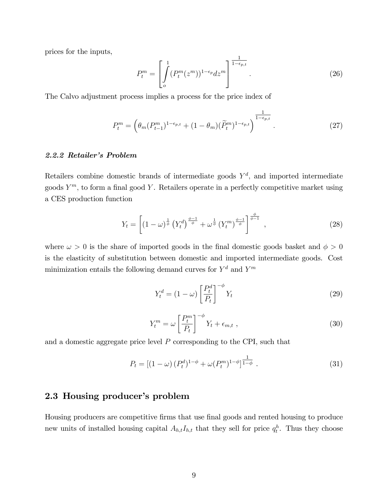prices for the inputs,

$$
P_t^m = \left[ \int\limits_{o}^1 (P_t^m(z^m))^{1-\epsilon_p} dz^m \right]^{\frac{1}{1-\epsilon_{p,t}}}.
$$
 (26)

The Calvo adjustment process implies a process for the price index of

$$
P_t^m = \left(\theta_m (P_{t-1}^m)^{1-\epsilon_{p,t}} + (1-\theta_m)(\widetilde{P}_t^m)^{1-\epsilon_{p,t}}\right)^{\frac{1}{1-\epsilon_{p,t}}}.
$$
\n(27)

#### 2.2.2 Retailer's Problem

Retailers combine domestic brands of intermediate goods  $Y^d$ , and imported intermediate goods  $Y^m$ , to form a final good Y. Retailers operate in a perfectly competitive market using a CES production function

$$
Y_t = \left[ \left( 1 - \omega \right)^{\frac{1}{\phi}} \left( Y_t^d \right)^{\frac{\phi - 1}{\phi}} + \omega^{\frac{1}{\phi}} \left( Y_t^m \right)^{\frac{\phi - 1}{\phi}} \right]^{\frac{\phi}{\phi - 1}}, \tag{28}
$$

where  $\omega > 0$  is the share of imported goods in the final domestic goods basket and  $\phi > 0$ is the elasticity of substitution between domestic and imported intermediate goods. Cost minimization entails the following demand curves for  $Y^d$  and  $Y^m$ 

$$
Y_t^d = (1 - \omega) \left[ \frac{P_t^d}{P_t} \right]^{-\phi} Y_t \tag{29}
$$

$$
Y_t^m = \omega \left[ \frac{P_t^m}{P_t} \right]^{-\phi} Y_t + \epsilon_{m,t} \tag{30}
$$

and a domestic aggregate price level  $P$  corresponding to the CPI, such that

$$
P_t = \left[ (1 - \omega) \left( P_t^d \right)^{1 - \phi} + \omega (P_t^m)^{1 - \phi} \right]^{\frac{1}{1 - \phi}}.
$$
 (31)

### 2.3 Housing producer's problem

Housing producers are competitive firms that use final goods and rented housing to produce new units of installed housing capital  $A_{h,t}I_{h,t}$  that they sell for price  $q_t^h$ . Thus they choose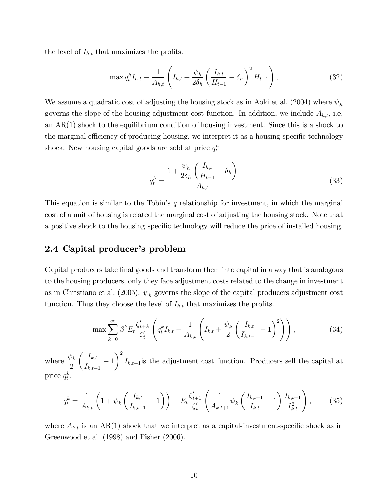the level of  $I_{h,t}$  that maximizes the profits.

$$
\max q_t^h I_{h,t} - \frac{1}{A_{h,t}} \left( I_{h,t} + \frac{\psi_h}{2\delta_h} \left( \frac{I_{h,t}}{H_{t-1}} - \delta_h \right)^2 H_{t-1} \right), \tag{32}
$$

We assume a quadratic cost of adjusting the housing stock as in Aoki et al. (2004) where  $\psi_h$ governs the slope of the housing adjustment cost function. In addition, we include  $A_{h,t}$ , i.e. an AR(1) shock to the equilibrium condition of housing investment. Since this is a shock to the marginal efficiency of producing housing, we interpret it as a housing-specific technology shock. New housing capital goods are sold at price  $q_t^h$ 

$$
q_t^h = \frac{1 + \frac{\psi_h}{2\delta_h} \left(\frac{I_{h,t}}{H_{t-1}} - \delta_h\right)}{A_{h,t}}
$$
(33)

This equation is similar to the Tobin's  $q$  relationship for investment, in which the marginal cost of a unit of housing is related the marginal cost of adjusting the housing stock. Note that a positive shock to the housing specific technology will reduce the price of installed housing.

### 2.4 Capital producer's problem

Capital producers take final goods and transform them into capital in a way that is analogous to the housing producers, only they face adjustment costs related to the change in investment as in Christiano et al. (2005).  $\psi_k$  governs the slope of the capital producers adjustment cost function. Thus they choose the level of  $I_{h,t}$  that maximizes the profits.

$$
\max \sum_{k=0}^{\infty} \beta^k E_t \frac{\zeta_{t+k}'}{\zeta_t'} \left( q_t^k I_{k,t} - \frac{1}{A_{k,t}} \left( I_{k,t} + \frac{\psi_k}{2} \left( \frac{I_{k,t}}{I_{k,t-1}} - 1 \right)^2 \right) \right), \tag{34}
$$

where  $\frac{\psi_k}{2}$ 2  $\int I_{k,t}$  $\frac{1}{I_{k,t-1}} - 1$  $\setminus^2$  $I_{k,t-1}$  is the adjustment cost function. Producers sell the capital at price  $q_t^k$ .

$$
q_t^k = \frac{1}{A_{k,t}} \left( 1 + \psi_k \left( \frac{I_{k,t}}{I_{k,t-1}} - 1 \right) \right) - E_t \frac{\zeta_{t+1}'}{\zeta_t'} \left( \frac{1}{A_{k,t+1}} \psi_k \left( \frac{I_{k,t+1}}{I_{k,t}} - 1 \right) \frac{I_{k,t+1}}{I_{k,t}^2} \right), \tag{35}
$$

where  $A_{k,t}$  is an AR(1) shock that we interpret as a capital-investment-specific shock as in Greenwood et al. (1998) and Fisher (2006).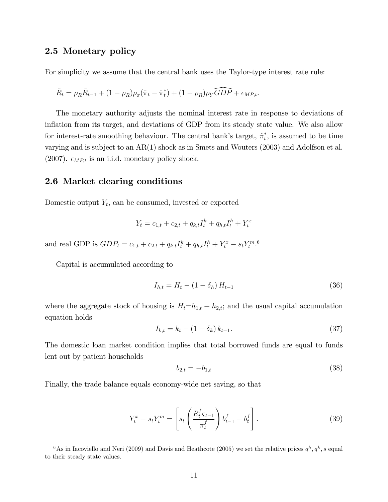#### 2.5 Monetary policy

For simplicity we assume that the central bank uses the Taylor-type interest rate rule:

$$
\hat{R}_t = \rho_R \hat{R}_{t-1} + (1 - \rho_R) \rho_\pi (\hat{\pi}_t - \hat{\pi}_t^*) + (1 - \rho_R) \rho_Y \widehat{GDP} + \epsilon_{MP,t}.
$$

The monetary authority adjusts the nominal interest rate in response to deviations of inflation from its target, and deviations of GDP from its steady state value. We also allow for interest-rate smoothing behaviour. The central bank's target,  $\hat{\pi}_t^*$ , is assumed to be time varying and is subject to an AR(1) shock as in Smets and Wouters (2003) and Adolfson et al. (2007).  $\epsilon_{MP,t}$  is an i.i.d. monetary policy shock.

### 2.6 Market clearing conditions

Domestic output  $Y_t$ , can be consumed, invested or exported

$$
Y_t = c_{1,t} + c_{2,t} + q_{k,t}I_t^k + q_{h,t}I_t^h + Y_t^x
$$

and real GDP is  $GDP_t = c_{1,t} + c_{2,t} + q_{k,t}I_t^k + q_{h,t}I_t^h + Y_t^x - s_t Y_t^m$ .

Capital is accumulated according to

$$
I_{h,t} = H_t - (1 - \delta_h) H_{t-1}
$$
\n(36)

where the aggregate stock of housing is  $H_t=h_{1,t}+h_{2,t}$ ; and the usual capital accumulation equation holds

$$
I_{k,t} = k_t - (1 - \delta_k) k_{t-1}.
$$
\n(37)

The domestic loan market condition implies that total borrowed funds are equal to funds lent out by patient households

$$
b_{2,t} = -b_{1,t} \tag{38}
$$

Finally, the trade balance equals economy-wide net saving, so that

$$
Y_t^x - s_t Y_t^m = \left[ s_t \left( \frac{R_t^f \zeta_{t-1}}{\pi_t^f} \right) b_{t-1}^f - b_t^f \right]. \tag{39}
$$

<sup>&</sup>lt;sup>6</sup>As in Iacoviello and Neri (2009) and Davis and Heathcote (2005) we set the relative prices  $q^h, q^k, s$  equal to their steady state values.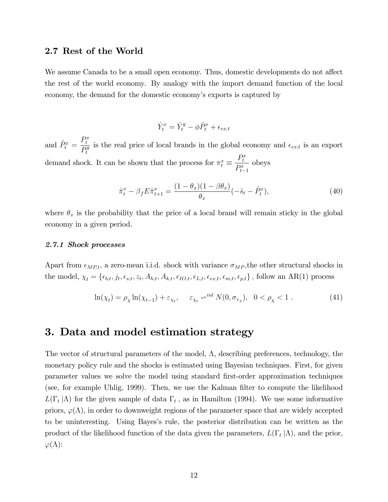#### 2.7 Rest of the World

We assume Canada to be a small open economy. Thus, domestic developments do not affect the rest of the world economy. By analogy with the import demand function of the local economy, the demand for the domestic economy's exports is captured by

$$
\hat{Y}_t^x = \hat{Y}_t^g - \phi \hat{P}_t^x + \epsilon_{ex,t}
$$

and  $\hat{P}^x_t =$  $P_t^x$  $\overline{P^g_t}$ t is the real price of local brands in the global economy and  $\epsilon_{ex,t}$  is an export demand shock. It can be shown that the process for  $\pi^x_t \equiv$  $P_t^x$  $P_{t-1}^x$ obeys

$$
\hat{\pi}_t^x - \beta_f E \hat{\pi}_{t+1}^x = \frac{(1 - \theta_x)(1 - \beta \theta_x)}{\theta_x} (-\hat{s}_t - \hat{P}_t^x), \tag{40}
$$

where  $\theta_x$  is the probability that the price of a local brand will remain sticky in the global economy in a given period.

#### 2.7.1 Shock processes

Apart from  $\epsilon_{MP,t}$ , a zero-mean i.i.d. shock with variance  $\sigma_{MP}$ , the other structural shocks in the model,  $\chi_t = \{\epsilon_{b,t}, j_t, \epsilon_{s,t}, z_t, A_{h,t}, A_{k,t}, \epsilon_{IO,t}, \epsilon_{L,t}, \epsilon_{ex,t}, \epsilon_{m,t}, \epsilon_{p,t}\}\$ , follow an AR(1) process

$$
\ln(\chi_t) = \rho_\chi \ln(\chi_{t-1}) + \varepsilon_{\chi_t}, \quad \varepsilon_{\chi_t} \sim^{iid} N(0, \sigma_{\varepsilon_\chi}), \quad 0 < \rho_\chi < 1. \tag{41}
$$

### 3. Data and model estimation strategy

The vector of structural parameters of the model,  $\Lambda$ , describing preferences, technology, the monetary policy rule and the shocks is estimated using Bayesian techniques. First, for given parameter values we solve the model using standard Örst-order approximation techniques (see, for example Uhlig, 1999). Then, we use the Kalman Ölter to compute the likelihood  $L(\Gamma_t | \Lambda)$  for the given sample of data  $\Gamma_t$ , as in Hamilton (1994). We use some informative priors,  $\varphi(\Lambda)$ , in order to downweight regions of the parameter space that are widely accepted to be uninteresting. Using Bayesís rule, the posterior distribution can be written as the product of the likelihood function of the data given the parameters,  $L(\Gamma_t | \Lambda)$ , and the prior,  $\varphi(\Lambda)$ :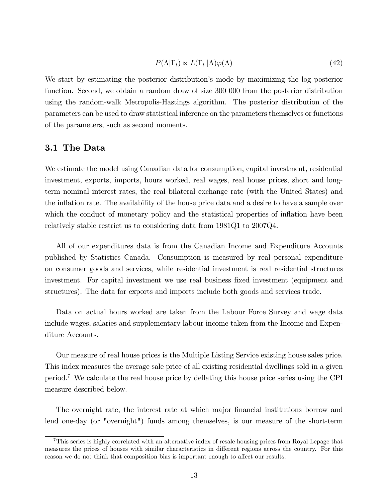$$
P(\Lambda|\Gamma_t) \ltimes L(\Gamma_t|\Lambda)\varphi(\Lambda) \tag{42}
$$

We start by estimating the posterior distribution's mode by maximizing the log posterior function. Second, we obtain a random draw of size 300 000 from the posterior distribution using the random-walk Metropolis-Hastings algorithm. The posterior distribution of the parameters can be used to draw statistical inference on the parameters themselves or functions of the parameters, such as second moments.

### 3.1 The Data

We estimate the model using Canadian data for consumption, capital investment, residential investment, exports, imports, hours worked, real wages, real house prices, short and longterm nominal interest rates, the real bilateral exchange rate (with the United States) and the inflation rate. The availability of the house price data and a desire to have a sample over which the conduct of monetary policy and the statistical properties of inflation have been relatively stable restrict us to considering data from 1981Q1 to 2007Q4.

All of our expenditures data is from the Canadian Income and Expenditure Accounts published by Statistics Canada. Consumption is measured by real personal expenditure on consumer goods and services, while residential investment is real residential structures investment. For capital investment we use real business Öxed investment (equipment and structures). The data for exports and imports include both goods and services trade.

Data on actual hours worked are taken from the Labour Force Survey and wage data include wages, salaries and supplementary labour income taken from the Income and Expenditure Accounts.

Our measure of real house prices is the Multiple Listing Service existing house sales price. This index measures the average sale price of all existing residential dwellings sold in a given period.<sup>7</sup> We calculate the real house price by deflating this house price series using the CPI measure described below.

The overnight rate, the interest rate at which major financial institutions borrow and lend one-day (or "overnight") funds among themselves, is our measure of the short-term

<sup>7</sup>This series is highly correlated with an alternative index of resale housing prices from Royal Lepage that measures the prices of houses with similar characteristics in different regions across the country. For this reason we do not think that composition bias is important enough to affect our results.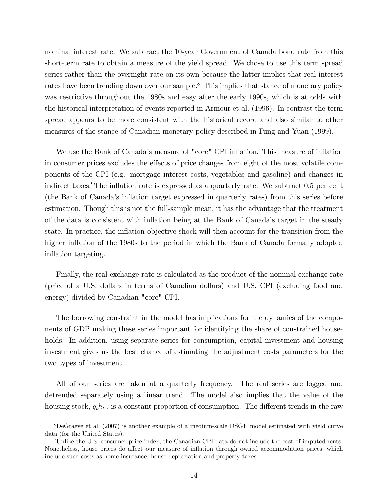nominal interest rate. We subtract the 10-year Government of Canada bond rate from this short-term rate to obtain a measure of the yield spread. We chose to use this term spread series rather than the overnight rate on its own because the latter implies that real interest rates have been trending down over our sample.<sup>8</sup> This implies that stance of monetary policy was restrictive throughout the 1980s and easy after the early 1990s, which is at odds with the historical interpretation of events reported in Armour et al. (1996). In contrast the term spread appears to be more consistent with the historical record and also similar to other measures of the stance of Canadian monetary policy described in Fung and Yuan (1999).

We use the Bank of Canada's measure of "core" CPI inflation. This measure of inflation in consumer prices excludes the effects of price changes from eight of the most volatile components of the CPI (e.g. mortgage interest costs, vegetables and gasoline) and changes in indirect taxes. The inflation rate is expressed as a quarterly rate. We subtract  $0.5$  per cent (the Bank of Canada's inflation target expressed in quarterly rates) from this series before estimation. Though this is not the full-sample mean, it has the advantage that the treatment of the data is consistent with ináation being at the Bank of Canadaís target in the steady state. In practice, the inflation objective shock will then account for the transition from the higher inflation of the 1980s to the period in which the Bank of Canada formally adopted inflation targeting.

Finally, the real exchange rate is calculated as the product of the nominal exchange rate (price of a U.S. dollars in terms of Canadian dollars) and U.S. CPI (excluding food and energy) divided by Canadian "core" CPI.

The borrowing constraint in the model has implications for the dynamics of the components of GDP making these series important for identifying the share of constrained households. In addition, using separate series for consumption, capital investment and housing investment gives us the best chance of estimating the adjustment costs parameters for the two types of investment.

All of our series are taken at a quarterly frequency. The real series are logged and detrended separately using a linear trend. The model also implies that the value of the housing stock,  $q_t h_t$ , is a constant proportion of consumption. The different trends in the raw

<sup>8</sup>DeGraeve et al. (2007) is another example of a medium-scale DSGE model estimated with yield curve data (for the United States).

<sup>9</sup>Unlike the U.S. consumer price index, the Canadian CPI data do not include the cost of imputed rents. Nonetheless, house prices do affect our measure of inflation through owned accommodation prices, which include such costs as home insurance, house depreciation and property taxes.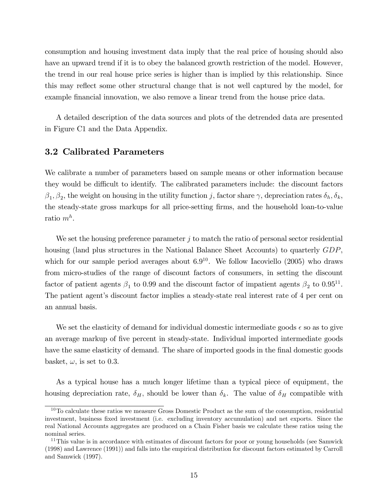consumption and housing investment data imply that the real price of housing should also have an upward trend if it is to obey the balanced growth restriction of the model. However, the trend in our real house price series is higher than is implied by this relationship. Since this may reflect some other structural change that is not well captured by the model, for example financial innovation, we also remove a linear trend from the house price data.

A detailed description of the data sources and plots of the detrended data are presented in Figure C1 and the Data Appendix.

#### 3.2 Calibrated Parameters

We calibrate a number of parameters based on sample means or other information because they would be difficult to identify. The calibrated parameters include: the discount factors  $\beta_1, \beta_2$ , the weight on housing in the utility function j, factor share  $\gamma$ , depreciation rates  $\delta_h, \delta_k$ , the steady-state gross markups for all price-setting firms, and the household loan-to-value ratio  $m^h$ .

We set the housing preference parameter  $j$  to match the ratio of personal sector residential housing (land plus structures in the National Balance Sheet Accounts) to quarterly  $GDP$ , which for our sample period averages about  $6.9^{10}$ . We follow Iacoviello (2005) who draws from micro-studies of the range of discount factors of consumers, in setting the discount factor of patient agents  $\beta_1$  to 0.99 and the discount factor of impatient agents  $\beta_2$  to 0.95<sup>11</sup>. The patient agent's discount factor implies a steady-state real interest rate of 4 per cent on an annual basis.

We set the elasticity of demand for individual domestic intermediate goods  $\epsilon$  so as to give an average markup of Öve percent in steady-state. Individual imported intermediate goods have the same elasticity of demand. The share of imported goods in the final domestic goods basket,  $\omega$ , is set to 0.3.

As a typical house has a much longer lifetime than a typical piece of equipment, the housing depreciation rate,  $\delta_H$ , should be lower than  $\delta_k$ . The value of  $\delta_H$  compatible with

<sup>&</sup>lt;sup>10</sup>To calculate these ratios we measure Gross Domestic Product as the sum of the consumption, residential investment, business Öxed investment (i.e. excluding inventory accumulation) and net exports. Since the real National Accounts aggregates are produced on a Chain Fisher basis we calculate these ratios using the nominal series.

<sup>&</sup>lt;sup>11</sup>This value is in accordance with estimates of discount factors for poor or young households (see Samwick (1998) and Lawrence (1991)) and falls into the empirical distribution for discount factors estimated by Carroll and Samwick (1997).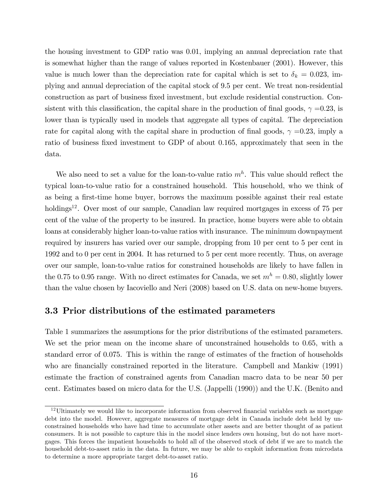the housing investment to GDP ratio was 0.01, implying an annual depreciation rate that is somewhat higher than the range of values reported in Kostenbauer (2001). However, this value is much lower than the depreciation rate for capital which is set to  $\delta_k = 0.023$ , implying and annual depreciation of the capital stock of 9.5 per cent. We treat non-residential construction as part of business fixed investment, but exclude residential construction. Consistent with this classification, the capital share in the production of final goods,  $\gamma = 0.23$ , is lower than is typically used in models that aggregate all types of capital. The depreciation rate for capital along with the capital share in production of final goods,  $\gamma =0.23$ , imply a ratio of business fixed investment to GDP of about 0.165, approximately that seen in the data.

We also need to set a value for the loan-to-value ratio  $m<sup>h</sup>$ . This value should reflect the typical loan-to-value ratio for a constrained household. This household, who we think of as being a first-time home buyer, borrows the maximum possible against their real estate holdings<sup>12</sup>. Over most of our sample, Canadian law required mortgages in excess of 75 per cent of the value of the property to be insured. In practice, home buyers were able to obtain loans at considerably higher loan-to-value ratios with insurance. The minimum downpayment required by insurers has varied over our sample, dropping from 10 per cent to 5 per cent in 1992 and to 0 per cent in 2004. It has returned to 5 per cent more recently. Thus, on average over our sample, loan-to-value ratios for constrained households are likely to have fallen in the 0.75 to 0.95 range. With no direct estimates for Canada, we set  $m<sup>h</sup> = 0.80$ , slightly lower than the value chosen by Iacoviello and Neri (2008) based on U.S. data on new-home buyers.

#### 3.3 Prior distributions of the estimated parameters

Table 1 summarizes the assumptions for the prior distributions of the estimated parameters. We set the prior mean on the income share of unconstrained households to 0.65, with a standard error of 0.075. This is within the range of estimates of the fraction of households who are financially constrained reported in the literature. Campbell and Mankiw (1991) estimate the fraction of constrained agents from Canadian macro data to be near 50 per cent. Estimates based on micro data for the U.S. (Jappelli (1990)) and the U.K. (Benito and

 $12$ Ultimately we would like to incorporate information from observed financial variables such as mortgage debt into the model. However, aggregate measures of mortgage debt in Canada include debt held by unconstrained households who have had time to accumulate other assets and are better thought of as patient consumers. It is not possible to capture this in the model since lenders own housing, but do not have mortgages. This forces the impatient households to hold all of the observed stock of debt if we are to match the household debt-to-asset ratio in the data. In future, we may be able to exploit information from microdata to determine a more appropriate target debt-to-asset ratio.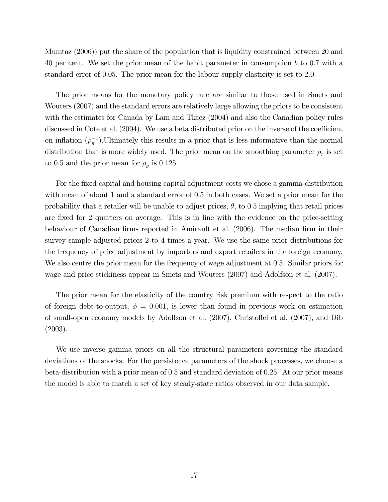Mumtaz (2006)) put the share of the population that is liquidity constrained between 20 and 40 per cent. We set the prior mean of the habit parameter in consumption b to 0.7 with a standard error of 0.05. The prior mean for the labour supply elasticity is set to 2.0.

The prior means for the monetary policy rule are similar to those used in Smets and Wouters (2007) and the standard errors are relatively large allowing the priors to be consistent with the estimates for Canada by Lam and Tkacz (2004) and also the Canadian policy rules discussed in Cote et al.  $(2004)$ . We use a beta distributed prior on the inverse of the coefficient on inflation  $(\rho_{\pi}^{-1})$ . Ultimately this results in a prior that is less informative than the normal distribution that is more widely used. The prior mean on the smoothing parameter  $\rho_r$  is set to 0.5 and the prior mean for  $\rho_y$  is 0.125.

For the fixed capital and housing capital adjustment costs we chose a gamma-distribution with mean of about 1 and a standard error of 0.5 in both cases. We set a prior mean for the probability that a retailer will be unable to adjust prices,  $\theta$ , to 0.5 implying that retail prices are fixed for 2 quarters on average. This is in line with the evidence on the price-setting behaviour of Canadian firms reported in Amirault et al. (2006). The median firm in their survey sample adjusted prices 2 to 4 times a year. We use the same prior distributions for the frequency of price adjustment by importers and export retailers in the foreign economy. We also centre the prior mean for the frequency of wage adjustment at 0.5. Similar priors for wage and price stickiness appear in Smets and Wouters (2007) and Adolfson et al. (2007).

The prior mean for the elasticity of the country risk premium with respect to the ratio of foreign debt-to-output,  $\phi = 0.001$ , is lower than found in previous work on estimation of small-open economy models by Adolfson et al. (2007), Christoffel et al. (2007), and Dib (2003).

We use inverse gamma priors on all the structural parameters governing the standard deviations of the shocks. For the persistence parameters of the shock processes, we choose a beta-distribution with a prior mean of 0.5 and standard deviation of 0.25. At our prior means the model is able to match a set of key steady-state ratios observed in our data sample.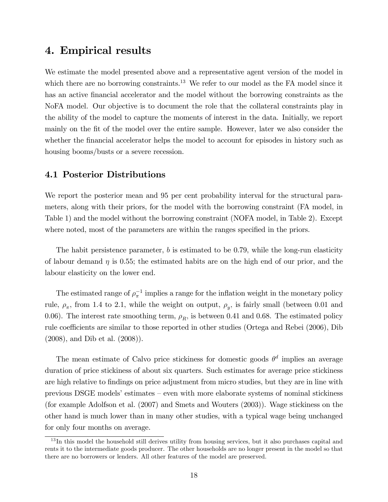### 4. Empirical results

We estimate the model presented above and a representative agent version of the model in which there are no borrowing constraints.<sup>13</sup> We refer to our model as the FA model since it has an active financial accelerator and the model without the borrowing constraints as the NoFA model. Our objective is to document the role that the collateral constraints play in the ability of the model to capture the moments of interest in the data. Initially, we report mainly on the Öt of the model over the entire sample. However, later we also consider the whether the financial accelerator helps the model to account for episodes in history such as housing booms/busts or a severe recession.

#### 4.1 Posterior Distributions

We report the posterior mean and 95 per cent probability interval for the structural parameters, along with their priors, for the model with the borrowing constraint (FA model, in Table 1) and the model without the borrowing constraint (NOFA model, in Table 2). Except where noted, most of the parameters are within the ranges specified in the priors.

The habit persistence parameter,  $b$  is estimated to be 0.79, while the long-run elasticity of labour demand  $\eta$  is 0.55; the estimated habits are on the high end of our prior, and the labour elasticity on the lower end.

The estimated range of  $\rho_{\pi}^{-1}$  implies a range for the inflation weight in the monetary policy rule,  $\rho_{\pi}$ , from 1.4 to 2.1, while the weight on output,  $\rho_{y}$ , is fairly small (between 0.01 and 0.06). The interest rate smoothing term,  $\rho_R$ , is between 0.41 and 0.68. The estimated policy rule coefficients are similar to those reported in other studies (Ortega and Rebei (2006), Dib (2008), and Dib et al. (2008)).

The mean estimate of Calvo price stickiness for domestic goods  $\theta^d$  implies an average duration of price stickiness of about six quarters. Such estimates for average price stickiness are high relative to findings on price adjustment from micro studies, but they are in line with previous DSGE models' estimates  $-$  even with more elaborate systems of nominal stickiness (for example Adolfson et al. (2007) and Smets and Wouters (2003)). Wage stickiness on the other hand is much lower than in many other studies, with a typical wage being unchanged for only four months on average.

<sup>&</sup>lt;sup>13</sup>In this model the household still derives utility from housing services, but it also purchases capital and rents it to the intermediate goods producer. The other households are no longer present in the model so that there are no borrowers or lenders. All other features of the model are preserved.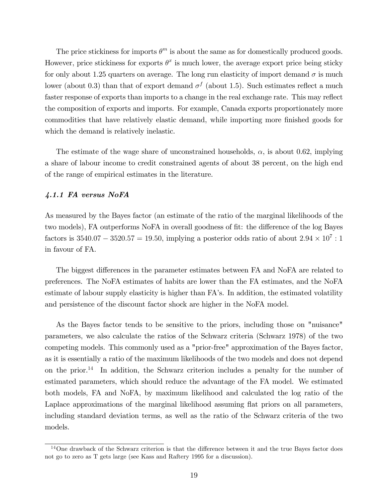The price stickiness for imports  $\theta^m$  is about the same as for domestically produced goods. However, price stickiness for exports  $\theta^x$  is much lower, the average export price being sticky for only about 1.25 quarters on average. The long run elasticity of import demand  $\sigma$  is much lower (about 0.3) than that of export demand  $\sigma^f$  (about 1.5). Such estimates reflect a much faster response of exports than imports to a change in the real exchange rate. This may reflect the composition of exports and imports. For example, Canada exports proportionately more commodities that have relatively elastic demand, while importing more finished goods for which the demand is relatively inelastic.

The estimate of the wage share of unconstrained households,  $\alpha$ , is about 0.62, implying a share of labour income to credit constrained agents of about 38 percent, on the high end of the range of empirical estimates in the literature.

#### 4.1.1 FA versus NoFA

As measured by the Bayes factor (an estimate of the ratio of the marginal likelihoods of the two models), FA outperforms NoFA in overall goodness of fit: the difference of the log Bayes factors is  $3540.07 - 3520.57 = 19.50$ , implying a posterior odds ratio of about  $2.94 \times 10^7 : 1$ in favour of FA.

The biggest differences in the parameter estimates between FA and NoFA are related to preferences. The NoFA estimates of habits are lower than the FA estimates, and the NoFA estimate of labour supply elasticity is higher than FA's. In addition, the estimated volatility and persistence of the discount factor shock are higher in the NoFA model.

As the Bayes factor tends to be sensitive to the priors, including those on "nuisance" parameters, we also calculate the ratios of the Schwarz criteria (Schwarz 1978) of the two competing models. This commonly used as a "prior-free" approximation of the Bayes factor, as it is essentially a ratio of the maximum likelihoods of the two models and does not depend on the prior.<sup>14</sup> In addition, the Schwarz criterion includes a penalty for the number of estimated parameters, which should reduce the advantage of the FA model. We estimated both models, FA and NoFA, by maximum likelihood and calculated the log ratio of the Laplace approximations of the marginal likelihood assuming flat priors on all parameters, including standard deviation terms, as well as the ratio of the Schwarz criteria of the two models.

 $14$ One drawback of the Schwarz criterion is that the difference between it and the true Bayes factor does not go to zero as T gets large (see Kass and Raftery 1995 for a discussion).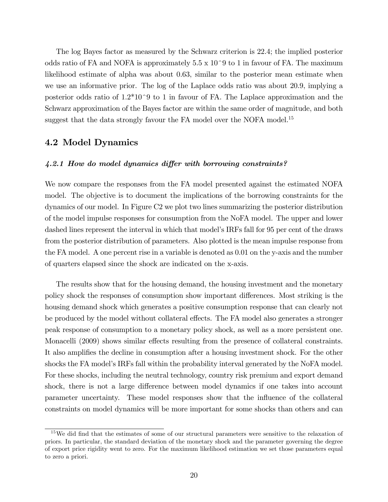The log Bayes factor as measured by the Schwarz criterion is 22.4; the implied posterior odds ratio of FA and NOFA is approximately  $5.5 \times 10^{\degree}9$  to 1 in favour of FA. The maximum likelihood estimate of alpha was about 0.63, similar to the posterior mean estimate when we use an informative prior. The log of the Laplace odds ratio was about 20.9, implying a posterior odds ratio of  $1.2*10^{\degree}9$  to 1 in favour of FA. The Laplace approximation and the Schwarz approximation of the Bayes factor are within the same order of magnitude, and both suggest that the data strongly favour the FA model over the NOFA model.<sup>15</sup>

### 4.2 Model Dynamics

#### $4.2.1$  How do model dynamics differ with borrowing constraints?

We now compare the responses from the FA model presented against the estimated NOFA model. The objective is to document the implications of the borrowing constraints for the dynamics of our model. In Figure C2 we plot two lines summarizing the posterior distribution of the model impulse responses for consumption from the NoFA model. The upper and lower dashed lines represent the interval in which that model's IRFs fall for 95 per cent of the draws from the posterior distribution of parameters. Also plotted is the mean impulse response from the FA model. A one percent rise in a variable is denoted as 0.01 on the y-axis and the number of quarters elapsed since the shock are indicated on the x-axis.

The results show that for the housing demand, the housing investment and the monetary policy shock the responses of consumption show important differences. Most striking is the housing demand shock which generates a positive consumption response that can clearly not be produced by the model without collateral effects. The FA model also generates a stronger peak response of consumption to a monetary policy shock, as well as a more persistent one. Monacelli (2009) shows similar effects resulting from the presence of collateral constraints. It also amplifies the decline in consumption after a housing investment shock. For the other shocks the FA model's IRFs fall within the probability interval generated by the NoFA model. For these shocks, including the neutral technology, country risk premium and export demand shock, there is not a large difference between model dynamics if one takes into account parameter uncertainty. These model responses show that the ináuence of the collateral constraints on model dynamics will be more important for some shocks than others and can

<sup>&</sup>lt;sup>15</sup>We did find that the estimates of some of our structural parameters were sensitive to the relaxation of priors. In particular, the standard deviation of the monetary shock and the parameter governing the degree of export price rigidity went to zero. For the maximum likelihood estimation we set those parameters equal to zero a priori.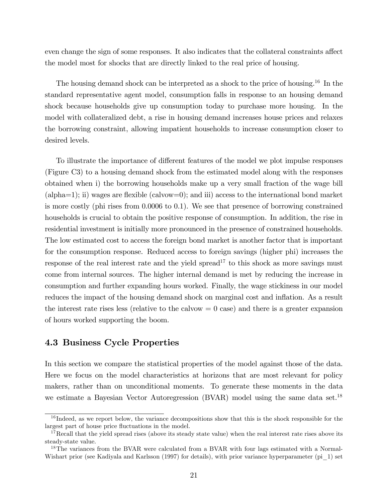even change the sign of some responses. It also indicates that the collateral constraints affect the model most for shocks that are directly linked to the real price of housing.

The housing demand shock can be interpreted as a shock to the price of housing.<sup>16</sup> In the standard representative agent model, consumption falls in response to an housing demand shock because households give up consumption today to purchase more housing. In the model with collateralized debt, a rise in housing demand increases house prices and relaxes the borrowing constraint, allowing impatient households to increase consumption closer to desired levels.

To illustrate the importance of different features of the model we plot impulse responses (Figure C3) to a housing demand shock from the estimated model along with the responses obtained when i) the borrowing households make up a very small fraction of the wage bill (alpha=1); ii) wages are flexible (calvow=0); and iii) access to the international bond market is more costly (phi rises from 0.0006 to 0.1). We see that presence of borrowing constrained households is crucial to obtain the positive response of consumption. In addition, the rise in residential investment is initially more pronounced in the presence of constrained households. The low estimated cost to access the foreign bond market is another factor that is important for the consumption response. Reduced access to foreign savings (higher phi) increases the response of the real interest rate and the yield spread<sup>17</sup> to this shock as more savings must come from internal sources. The higher internal demand is met by reducing the increase in consumption and further expanding hours worked. Finally, the wage stickiness in our model reduces the impact of the housing demand shock on marginal cost and inflation. As a result the interest rate rises less (relative to the calvow  $= 0$  case) and there is a greater expansion of hours worked supporting the boom.

### 4.3 Business Cycle Properties

In this section we compare the statistical properties of the model against those of the data. Here we focus on the model characteristics at horizons that are most relevant for policy makers, rather than on unconditional moments. To generate these moments in the data we estimate a Bayesian Vector Autoregression (BVAR) model using the same data set.<sup>18</sup>

 $16$  Indeed, as we report below, the variance decompositions show that this is the shock responsible for the largest part of house price fluctuations in the model.

 $17$ Recall that the yield spread rises (above its steady state value) when the real interest rate rises above its steady-state value.

<sup>&</sup>lt;sup>18</sup>The variances from the BVAR were calculated from a BVAR with four lags estimated with a Normal-Wishart prior (see Kadiyala and Karlsson (1997) for details), with prior variance hyperparameter (pi\_1) set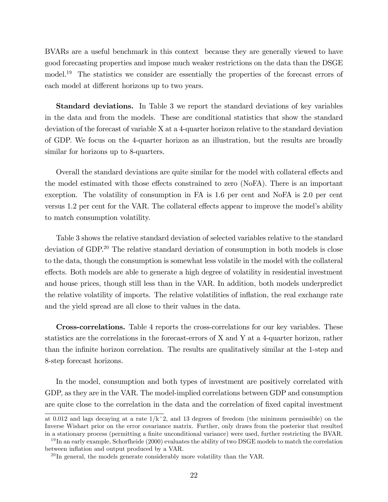BVARs are a useful benchmark in this context because they are generally viewed to have good forecasting properties and impose much weaker restrictions on the data than the DSGE model.<sup>19</sup> The statistics we consider are essentially the properties of the forecast errors of each model at different horizons up to two years.

Standard deviations. In Table 3 we report the standard deviations of key variables in the data and from the models. These are conditional statistics that show the standard deviation of the forecast of variable X at a 4-quarter horizon relative to the standard deviation of GDP. We focus on the 4-quarter horizon as an illustration, but the results are broadly similar for horizons up to 8-quarters.

Overall the standard deviations are quite similar for the model with collateral effects and the model estimated with those effects constrained to zero (NoFA). There is an important exception. The volatility of consumption in FA is 1.6 per cent and NoFA is 2.0 per cent versus 1.2 per cent for the VAR. The collateral effects appear to improve the model's ability to match consumption volatility.

Table 3 shows the relative standard deviation of selected variables relative to the standard deviation of GDP.<sup>20</sup> The relative standard deviation of consumption in both models is close to the data, though the consumption is somewhat less volatile in the model with the collateral effects. Both models are able to generate a high degree of volatility in residential investment and house prices, though still less than in the VAR. In addition, both models underpredict the relative volatility of imports. The relative volatilities of inflation, the real exchange rate and the yield spread are all close to their values in the data.

Cross-correlations. Table 4 reports the cross-correlations for our key variables. These statistics are the correlations in the forecast-errors of X and Y at a 4-quarter horizon, rather than the infinite horizon correlation. The results are qualitatively similar at the 1-step and 8-step forecast horizons.

In the model, consumption and both types of investment are positively correlated with GDP, as they are in the VAR. The model-implied correlations between GDP and consumption are quite close to the correlation in the data and the correlation of fixed capital investment

at 0.012 and lags decaying at a rate  $1/k^2$ , and 13 degrees of freedom (the minimum permissible) on the Inverse Wishart prior on the error covariance matrix. Further, only draws from the posterior that resulted in a stationary process (permitting a finite unconditional variance) were used, further restricting the BVAR.

 $19$  In an early example, Schorfheide (2000) evaluates the ability of two DSGE models to match the correlation between inflation and output produced by a VAR.

 $^{20}$ In general, the models generate considerably more volatility than the VAR.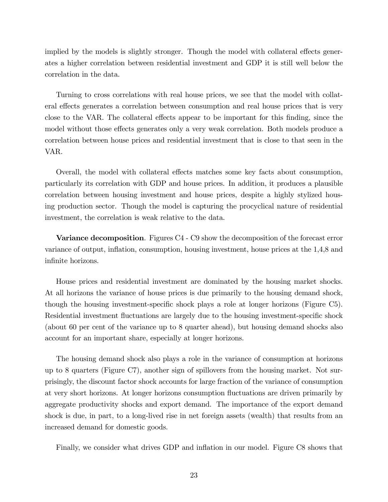implied by the models is slightly stronger. Though the model with collateral effects generates a higher correlation between residential investment and GDP it is still well below the correlation in the data.

Turning to cross correlations with real house prices, we see that the model with collateral effects generates a correlation between consumption and real house prices that is very close to the VAR. The collateral effects appear to be important for this finding, since the model without those effects generates only a very weak correlation. Both models produce a correlation between house prices and residential investment that is close to that seen in the VAR.

Overall, the model with collateral effects matches some key facts about consumption, particularly its correlation with GDP and house prices. In addition, it produces a plausible correlation between housing investment and house prices, despite a highly stylized housing production sector. Though the model is capturing the procyclical nature of residential investment, the correlation is weak relative to the data.

Variance decomposition. Figures C4 - C9 show the decomposition of the forecast error variance of output, ináation, consumption, housing investment, house prices at the 1,4,8 and infinite horizons.

House prices and residential investment are dominated by the housing market shocks. At all horizons the variance of house prices is due primarily to the housing demand shock, though the housing investment-specific shock plays a role at longer horizons (Figure C5). Residential investment fluctuations are largely due to the housing investment-specific shock (about 60 per cent of the variance up to 8 quarter ahead), but housing demand shocks also account for an important share, especially at longer horizons.

The housing demand shock also plays a role in the variance of consumption at horizons up to 8 quarters (Figure C7), another sign of spillovers from the housing market. Not surprisingly, the discount factor shock accounts for large fraction of the variance of consumption at very short horizons. At longer horizons consumption áuctuations are driven primarily by aggregate productivity shocks and export demand. The importance of the export demand shock is due, in part, to a long-lived rise in net foreign assets (wealth) that results from an increased demand for domestic goods.

Finally, we consider what drives GDP and ináation in our model. Figure C8 shows that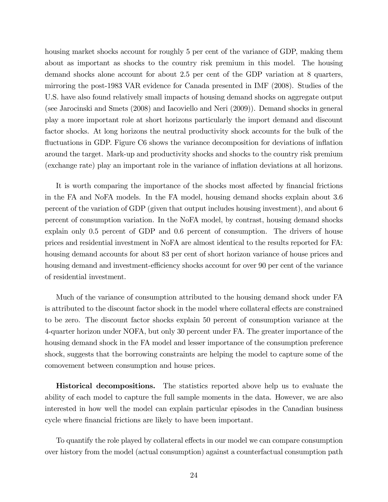housing market shocks account for roughly 5 per cent of the variance of GDP, making them about as important as shocks to the country risk premium in this model. The housing demand shocks alone account for about 2.5 per cent of the GDP variation at 8 quarters, mirroring the post-1983 VAR evidence for Canada presented in IMF (2008). Studies of the U.S. have also found relatively small impacts of housing demand shocks on aggregate output (see Jarocinski and Smets (2008) and Iacoviello and Neri (2009)). Demand shocks in general play a more important role at short horizons particularly the import demand and discount factor shocks. At long horizons the neutral productivity shock accounts for the bulk of the fluctuations in GDP. Figure C6 shows the variance decomposition for deviations of inflation around the target. Mark-up and productivity shocks and shocks to the country risk premium (exchange rate) play an important role in the variance of ináation deviations at all horizons.

It is worth comparing the importance of the shocks most affected by financial frictions in the FA and NoFA models. In the FA model, housing demand shocks explain about 3.6 percent of the variation of GDP (given that output includes housing investment), and about 6 percent of consumption variation. In the NoFA model, by contrast, housing demand shocks explain only 0.5 percent of GDP and 0.6 percent of consumption. The drivers of house prices and residential investment in NoFA are almost identical to the results reported for FA: housing demand accounts for about 83 per cent of short horizon variance of house prices and housing demand and investment-efficiency shocks account for over 90 per cent of the variance of residential investment.

Much of the variance of consumption attributed to the housing demand shock under FA is attributed to the discount factor shock in the model where collateral effects are constrained to be zero. The discount factor shocks explain 50 percent of consumption variance at the 4-quarter horizon under NOFA, but only 30 percent under FA. The greater importance of the housing demand shock in the FA model and lesser importance of the consumption preference shock, suggests that the borrowing constraints are helping the model to capture some of the comovement between consumption and house prices.

Historical decompositions. The statistics reported above help us to evaluate the ability of each model to capture the full sample moments in the data. However, we are also interested in how well the model can explain particular episodes in the Canadian business cycle where financial frictions are likely to have been important.

To quantify the role played by collateral effects in our model we can compare consumption over history from the model (actual consumption) against a counterfactual consumption path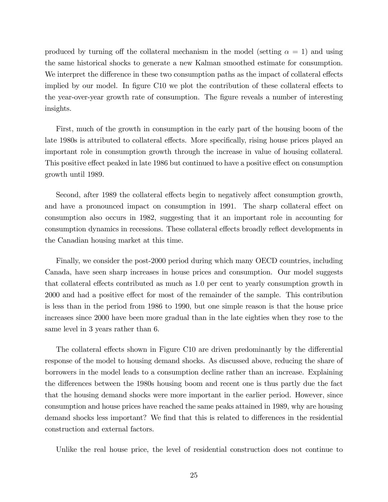produced by turning off the collateral mechanism in the model (setting  $\alpha = 1$ ) and using the same historical shocks to generate a new Kalman smoothed estimate for consumption. We interpret the difference in these two consumption paths as the impact of collateral effects implied by our model. In figure C10 we plot the contribution of these collateral effects to the year-over-year growth rate of consumption. The figure reveals a number of interesting insights.

First, much of the growth in consumption in the early part of the housing boom of the late 1980s is attributed to collateral effects. More specifically, rising house prices played an important role in consumption growth through the increase in value of housing collateral. This positive effect peaked in late 1986 but continued to have a positive effect on consumption growth until 1989.

Second, after 1989 the collateral effects begin to negatively affect consumption growth, and have a pronounced impact on consumption in 1991. The sharp collateral effect on consumption also occurs in 1982, suggesting that it an important role in accounting for consumption dynamics in recessions. These collateral effects broadly reflect developments in the Canadian housing market at this time.

Finally, we consider the post-2000 period during which many OECD countries, including Canada, have seen sharp increases in house prices and consumption. Our model suggests that collateral effects contributed as much as 1.0 per cent to yearly consumption growth in 2000 and had a positive effect for most of the remainder of the sample. This contribution is less than in the period from 1986 to 1990, but one simple reason is that the house price increases since 2000 have been more gradual than in the late eighties when they rose to the same level in 3 years rather than 6.

The collateral effects shown in Figure C10 are driven predominantly by the differential response of the model to housing demand shocks. As discussed above, reducing the share of borrowers in the model leads to a consumption decline rather than an increase. Explaining the differences between the 1980s housing boom and recent one is thus partly due the fact that the housing demand shocks were more important in the earlier period. However, since consumption and house prices have reached the same peaks attained in 1989, why are housing demand shocks less important? We find that this is related to differences in the residential construction and external factors.

Unlike the real house price, the level of residential construction does not continue to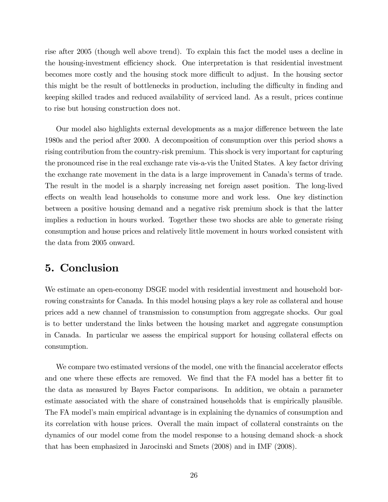rise after 2005 (though well above trend). To explain this fact the model uses a decline in the housing-investment efficiency shock. One interpretation is that residential investment becomes more costly and the housing stock more difficult to adjust. In the housing sector this might be the result of bottlenecks in production, including the difficulty in finding and keeping skilled trades and reduced availability of serviced land. As a result, prices continue to rise but housing construction does not.

Our model also highlights external developments as a major difference between the late 1980s and the period after 2000. A decomposition of consumption over this period shows a rising contribution from the country-risk premium. This shock is very important for capturing the pronounced rise in the real exchange rate vis-a-vis the United States. A key factor driving the exchange rate movement in the data is a large improvement in Canada's terms of trade. The result in the model is a sharply increasing net foreign asset position. The long-lived effects on wealth lead households to consume more and work less. One key distinction between a positive housing demand and a negative risk premium shock is that the latter implies a reduction in hours worked. Together these two shocks are able to generate rising consumption and house prices and relatively little movement in hours worked consistent with the data from 2005 onward.

### 5. Conclusion

We estimate an open-economy DSGE model with residential investment and household borrowing constraints for Canada. In this model housing plays a key role as collateral and house prices add a new channel of transmission to consumption from aggregate shocks. Our goal is to better understand the links between the housing market and aggregate consumption in Canada. In particular we assess the empirical support for housing collateral effects on consumption.

We compare two estimated versions of the model, one with the financial accelerator effects and one where these effects are removed. We find that the FA model has a better fit to the data as measured by Bayes Factor comparisons. In addition, we obtain a parameter estimate associated with the share of constrained households that is empirically plausible. The FA model's main empirical advantage is in explaining the dynamics of consumption and its correlation with house prices. Overall the main impact of collateral constraints on the dynamics of our model come from the model response to a housing demand shock-a shock that has been emphasized in Jarocinski and Smets (2008) and in IMF (2008).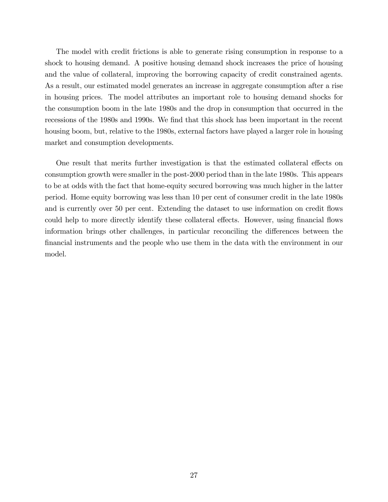The model with credit frictions is able to generate rising consumption in response to a shock to housing demand. A positive housing demand shock increases the price of housing and the value of collateral, improving the borrowing capacity of credit constrained agents. As a result, our estimated model generates an increase in aggregate consumption after a rise in housing prices. The model attributes an important role to housing demand shocks for the consumption boom in the late 1980s and the drop in consumption that occurred in the recessions of the 1980s and 1990s. We find that this shock has been important in the recent housing boom, but, relative to the 1980s, external factors have played a larger role in housing market and consumption developments.

One result that merits further investigation is that the estimated collateral effects on consumption growth were smaller in the post-2000 period than in the late 1980s. This appears to be at odds with the fact that home-equity secured borrowing was much higher in the latter period. Home equity borrowing was less than 10 per cent of consumer credit in the late 1980s and is currently over 50 per cent. Extending the dataset to use information on credit flows could help to more directly identify these collateral effects. However, using financial flows information brings other challenges, in particular reconciling the differences between the Önancial instruments and the people who use them in the data with the environment in our model.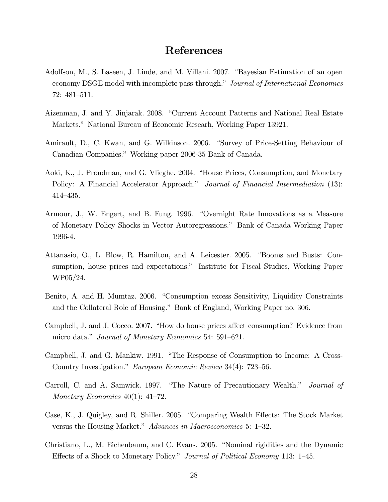### References

- Adolfson, M., S. Laseen, J. Linde, and M. Villani. 2007. "Bayesian Estimation of an open economy DSGE model with incomplete pass-through." Journal of International Economics  $72:481-511.$
- Aizenman, J. and Y. Jinjarak. 2008. "Current Account Patterns and National Real Estate Markets." National Bureau of Economic Researh, Working Paper 13921.
- Amirault, D., C. Kwan, and G. Wilkinson. 2006. "Survey of Price-Setting Behaviour of Canadian Companies.î Working paper 2006-35 Bank of Canada.
- Aoki, K., J. Proudman, and G. Vlieghe. 2004. "House Prices, Consumption, and Monetary Policy: A Financial Accelerator Approach." Journal of Financial Intermediation (13): 414-435.
- Armour, J., W. Engert, and B. Fung. 1996. "Overnight Rate Innovations as a Measure of Monetary Policy Shocks in Vector Autoregressions.î Bank of Canada Working Paper 1996-4.
- Attanasio, O., L. Blow, R. Hamilton, and A. Leicester. 2005. "Booms and Busts: Consumption, house prices and expectations." Institute for Fiscal Studies, Working Paper WP05/24.
- Benito, A. and H. Mumtaz. 2006. "Consumption excess Sensitivity, Liquidity Constraints and the Collateral Role of Housing." Bank of England, Working Paper no. 306.
- Campbell, J. and J. Cocco. 2007. "How do house prices affect consumption? Evidence from micro data." Journal of Monetary Economics 54: 591–621.
- Campbell, J. and G. Mankiw. 1991. "The Response of Consumption to Income: A Cross-Country Investigation." European Economic Review 34(4): 723–56.
- Carroll, C. and A. Samwick. 1997. "The Nature of Precautionary Wealth." Journal of Monetary Economics  $40(1)$ :  $41-72$ .
- Case, K., J. Quigley, and R. Shiller. 2005. "Comparing Wealth Effects: The Stock Market versus the Housing Market." Advances in Macroeconomics 5:  $1-32$ .
- Christiano, L., M. Eichenbaum, and C. Evans. 2005. "Nominal rigidities and the Dynamic Effects of a Shock to Monetary Policy." Journal of Political Economy 113: 1–45.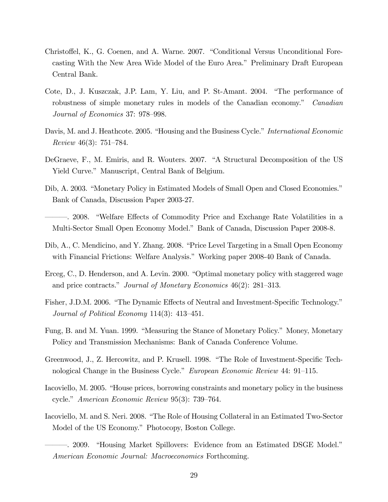- Christoffel, K., G. Coenen, and A. Warne. 2007. "Conditional Versus Unconditional Forecasting With the New Area Wide Model of the Euro Area.î Preliminary Draft European Central Bank.
- Cote, D., J. Kuszczak, J.P. Lam, Y. Liu, and P. St-Amant. 2004. "The performance of robustness of simple monetary rules in models of the Canadian economy.<sup>n</sup> Canadian Journal of Economics 37: 978–998.
- Davis, M. and J. Heathcote. 2005. "Housing and the Business Cycle." International Economic Review 46(3):  $751-784$ .
- DeGraeve, F., M. Emiris, and R. Wouters. 2007. "A Structural Decomposition of the US Yield Curve." Manuscript, Central Bank of Belgium.
- Dib, A. 2003. "Monetary Policy in Estimated Models of Small Open and Closed Economies." Bank of Canada, Discussion Paper 2003-27.
- 2008. "Welfare Effects of Commodity Price and Exchange Rate Volatilities in a Multi-Sector Small Open Economy Model." Bank of Canada, Discussion Paper 2008-8.
- Dib, A., C. Mendicino, and Y. Zhang. 2008. "Price Level Targeting in a Small Open Economy with Financial Frictions: Welfare Analysis." Working paper 2008-40 Bank of Canada.
- Erceg, C., D. Henderson, and A. Levin. 2000. "Optimal monetary policy with staggered wage and price contracts." Journal of Monetary Economics  $46(2)$ : 281–313.
- Fisher, J.D.M. 2006. "The Dynamic Effects of Neutral and Investment-Specific Technology." Journal of Political Economy  $114(3)$ :  $413-451$ .
- Fung, B. and M. Yuan. 1999. "Measuring the Stance of Monetary Policy." Money, Monetary Policy and Transmission Mechanisms: Bank of Canada Conference Volume.
- Greenwood, J., Z. Hercowitz, and P. Krusell. 1998. "The Role of Investment-Specific Technological Change in the Business Cycle." European Economic Review 44: 91–115.
- Iacoviello, M. 2005. "House prices, borrowing constraints and monetary policy in the business cycle." American Economic Review 95(3):  $739-764$ .
- Iacoviello, M. and S. Neri. 2008. "The Role of Housing Collateral in an Estimated Two-Sector Model of the US Economy." Photocopy, Boston College.
- 2009. "Housing Market Spillovers: Evidence from an Estimated DSGE Model." American Economic Journal: Macroeconomics Forthcoming.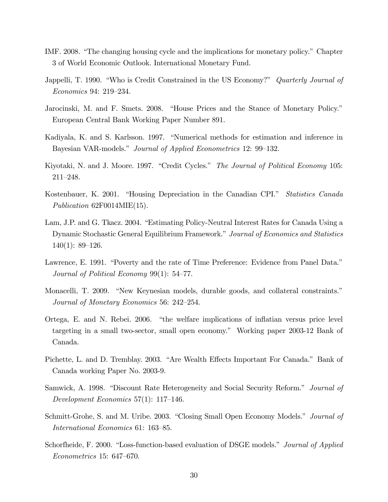- IMF. 2008. "The changing housing cycle and the implications for monetary policy." Chapter 3 of World Economic Outlook. International Monetary Fund.
- Jappelli, T. 1990. "Who is Credit Constrained in the US Economy?" *Quarterly Journal of* Economics 94: 219–234.
- Jarocinski, M. and F. Smets. 2008. "House Prices and the Stance of Monetary Policy." European Central Bank Working Paper Number 891.
- Kadiyala, K. and S. Karlsson. 1997. "Numerical methods for estimation and inference in Bayesian VAR-models." Journal of Applied Econometrics 12: 99–132.
- Kiyotaki, N. and J. Moore. 1997. "Credit Cycles." The Journal of Political Economy 105:  $211 - 248.$
- Kostenbauer, K. 2001. "Housing Depreciation in the Canadian CPI." Statistics Canada Publication 62F0014MIE(15).
- Lam, J.P. and G. Tkacz. 2004. "Estimating Policy-Neutral Interest Rates for Canada Using a Dynamic Stochastic General Equilibrium Framework." Journal of Economics and Statistics  $140(1): 89-126.$
- Lawrence, E. 1991. "Poverty and the rate of Time Preference: Evidence from Panel Data." Journal of Political Economy  $99(1)$ : 54–77.
- Monacelli, T. 2009. "New Keynesian models, durable goods, and collateral constraints." Journal of Monetary Economics 56: 242–254.
- Ortega, E. and N. Rebei. 2006. "the welfare implications of inflatian versus price level targeting in a small two-sector, small open economy." Working paper 2003-12 Bank of Canada.
- Pichette, L. and D. Tremblay. 2003. "Are Wealth Effects Important For Canada." Bank of Canada working Paper No. 2003-9.
- Samwick, A. 1998. "Discount Rate Heterogeneity and Social Security Reform." Journal of Development Economics  $57(1)$ : 117-146.
- Schmitt-Grohe, S. and M. Uribe. 2003. "Closing Small Open Economy Models." *Journal of* International Economics 61: 163–85.
- Schorfheide, F. 2000. "Loss-function-based evaluation of DSGE models." Journal of Applied  $Econometrics$  15: 647–670.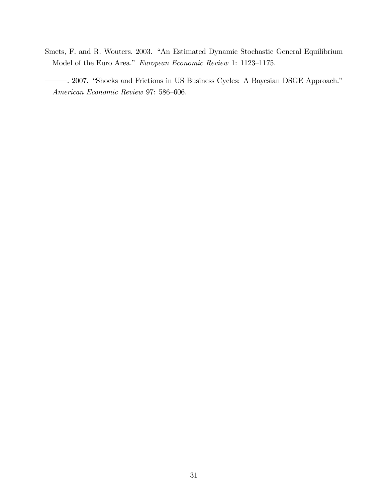- Smets, F. and R. Wouters. 2003. "An Estimated Dynamic Stochastic General Equilibrium Model of the Euro Area." European Economic Review 1: 1123-1175.
- (2007. "Shocks and Frictions in US Business Cycles: A Bayesian DSGE Approach." American Economic Review 97: 586–606.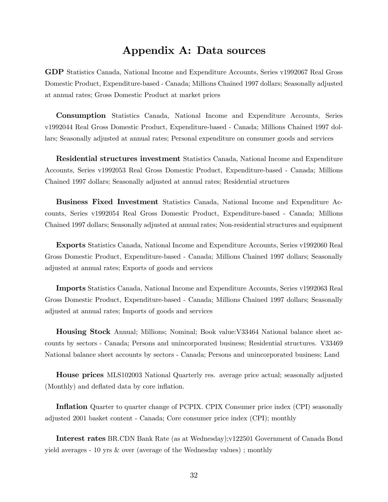### Appendix A: Data sources

GDP Statistics Canada, National Income and Expenditure Accounts, Series v1992067 Real Gross Domestic Product, Expenditure-based - Canada; Millions Chained 1997 dollars; Seasonally adjusted at annual rates; Gross Domestic Product at market prices

Consumption Statistics Canada, National Income and Expenditure Accounts, Series v1992044 Real Gross Domestic Product, Expenditure-based - Canada; Millions Chained 1997 dollars; Seasonally adjusted at annual rates; Personal expenditure on consumer goods and services

Residential structures investment Statistics Canada, National Income and Expenditure Accounts, Series v1992053 Real Gross Domestic Product, Expenditure-based - Canada; Millions Chained 1997 dollars; Seasonally adjusted at annual rates; Residential structures

Business Fixed Investment Statistics Canada, National Income and Expenditure Accounts, Series v1992054 Real Gross Domestic Product, Expenditure-based - Canada; Millions Chained 1997 dollars; Seasonally adjusted at annual rates; Non-residential structures and equipment

Exports Statistics Canada, National Income and Expenditure Accounts, Series v1992060 Real Gross Domestic Product, Expenditure-based - Canada; Millions Chained 1997 dollars; Seasonally adjusted at annual rates; Exports of goods and services

Imports Statistics Canada, National Income and Expenditure Accounts, Series v1992063 Real Gross Domestic Product, Expenditure-based - Canada; Millions Chained 1997 dollars; Seasonally adjusted at annual rates; Imports of goods and services

Housing Stock Annual; Millions; Nominal; Book value:V33464 National balance sheet accounts by sectors - Canada; Persons and unincorporated business; Residential structures. V33469 National balance sheet accounts by sectors - Canada; Persons and unincorporated business; Land

House prices MLS102003 National Quarterly res. average price actual; seasonally adjusted (Monthly) and deflated data by core inflation.

**Inflation** Quarter to quarter change of PCPIX. CPIX Consumer price index (CPI) seasonally adjusted 2001 basket content - Canada; Core consumer price index (CPI); monthly

Interest rates BR.CDN Bank Rate (as at Wednesday);v122501 Government of Canada Bond yield averages - 10 yrs & over (average of the Wednesday values) ; monthly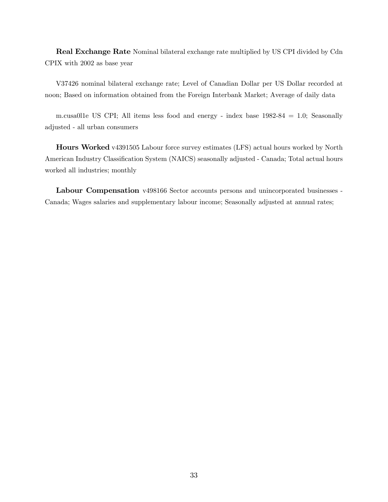Real Exchange Rate Nominal bilateral exchange rate multiplied by US CPI divided by Cdn CPIX with 2002 as base year

V37426 nominal bilateral exchange rate; Level of Canadian Dollar per US Dollar recorded at noon; Based on information obtained from the Foreign Interbank Market; Average of daily data

m.cusa0l1e US CPI; All items less food and energy - index base 1982-84 = 1.0; Seasonally adjusted - all urban consumers

Hours Worked v4391505 Labour force survey estimates (LFS) actual hours worked by North American Industry Classification System (NAICS) seasonally adjusted - Canada; Total actual hours worked all industries; monthly

Labour Compensation v498166 Sector accounts persons and unincorporated businesses -Canada; Wages salaries and supplementary labour income; Seasonally adjusted at annual rates;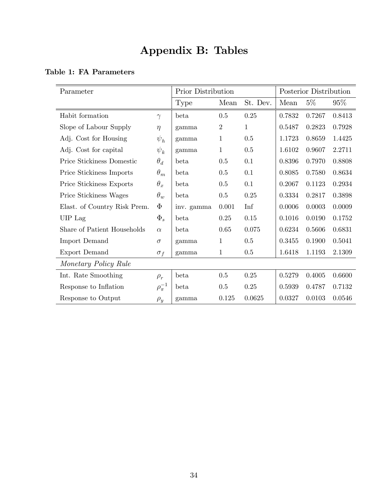## Appendix B: Tables

|  |  | Table 1: FA Parameters |
|--|--|------------------------|
|--|--|------------------------|

| Parameter                    |                   | Prior Distribution |                | Posterior Distribution |        |        |        |
|------------------------------|-------------------|--------------------|----------------|------------------------|--------|--------|--------|
|                              |                   | <b>Type</b>        | Mean           | St. Dev.               | Mean   | $5\%$  | 95%    |
| Habit formation              | $\gamma$          | beta               | 0.5            | 0.25                   | 0.7832 | 0.7267 | 0.8413 |
| Slope of Labour Supply       | $\eta$            | gamma              | $\overline{2}$ | 1                      | 0.5487 | 0.2823 | 0.7928 |
| Adj. Cost for Housing        | $\psi_h$          | gamma              | $\mathbf{1}$   | 0.5                    | 1.1723 | 0.8659 | 1.4425 |
| Adj. Cost for capital        | $\psi_k$          | gamma              | $\mathbf{1}$   | 0.5                    | 1.6102 | 0.9607 | 2.2711 |
| Price Stickiness Domestic    | $\theta_d$        | beta               | 0.5            | 0.1                    | 0.8396 | 0.7970 | 0.8808 |
| Price Stickiness Imports     | $\theta_m$        | <b>beta</b>        | 0.5            | 0.1                    | 0.8085 | 0.7580 | 0.8634 |
| Price Stickiness Exports     | $\theta_x$        | beta               | $0.5\,$        | 0.1                    | 0.2067 | 0.1123 | 0.2934 |
| Price Stickiness Wages       | $\theta_w$        | beta               | 0.5            | 0.25                   | 0.3334 | 0.2817 | 0.3898 |
| Elast. of Country Risk Prem. | $\Phi$            | inv. gamma         | 0.001          | Inf                    | 0.0006 | 0.0003 | 0.0009 |
| UIP Lag                      | $\Phi_s$          | beta               | 0.25           | 0.15                   | 0.1016 | 0.0190 | 0.1752 |
| Share of Patient Households  | $\alpha$          | beta               | 0.65           | 0.075                  | 0.6234 | 0.5606 | 0.6831 |
| Import Demand                | $\sigma$          | gamma              | $\mathbf{1}$   | 0.5                    | 0.3455 | 0.1900 | 0.5041 |
| Export Demand                | $\sigma_f$        | gamma              | $\mathbf{1}$   | 0.5                    | 1.6418 | 1.1193 | 2.1309 |
| Monetary Policy Rule         |                   |                    |                |                        |        |        |        |
| Int. Rate Smoothing          | $\rho_r$          | beta               | 0.5            | 0.25                   | 0.5279 | 0.4005 | 0.6600 |
| Response to Inflation        | $\rho_{\pi}^{-1}$ | beta               | 0.5            | 0.25                   | 0.5939 | 0.4787 | 0.7132 |
| Response to Output           | $\rho_y$          | gamma              | 0.125          | 0.0625                 | 0.0327 | 0.0103 | 0.0546 |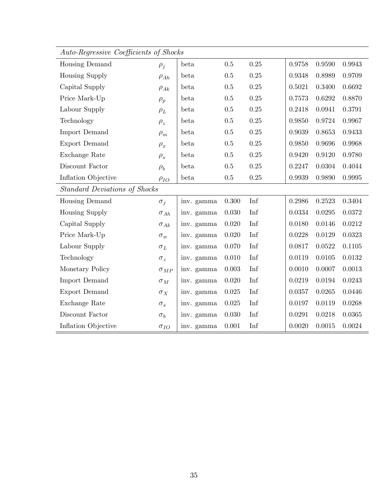| Auto-Regressive Coefficients of Shocks |               |            |       |                    |        |        |            |
|----------------------------------------|---------------|------------|-------|--------------------|--------|--------|------------|
| Housing Demand                         | $\rho_j$      | beta       | 0.5   | 0.25               | 0.9758 | 0.9590 | 0.9943     |
| <b>Housing Supply</b>                  | $\rho_{Ah}$   | beta       | 0.5   | 0.25               | 0.9348 | 0.8989 | 0.9709     |
| Capital Supply                         | $\rho_{Ak}$   | beta       | 0.5   | 0.25               | 0.5021 | 0.3400 | 0.6692     |
| Price Mark-Up                          | $\rho_p$      | beta       | 0.5   | $0.25\,$           | 0.7573 | 0.6292 | 0.8870     |
| Labour Supply                          | $\rho_L$      | beta       | 0.5   | 0.25               | 0.2418 | 0.0941 | 0.3791     |
| Technology                             | $\rho_z$      | beta       | 0.5   | 0.25               | 0.9850 | 0.9724 | 0.9967     |
| <b>Import Demand</b>                   | $\rho_m$      | beta       | 0.5   | 0.25               | 0.9039 | 0.8653 | 0.9433     |
| Export Demand                          | $\rho_x$      | beta       | 0.5   | $0.25\,$           | 0.9850 | 0.9696 | 0.9968     |
| Exchange Rate                          | $\rho_s$      | beta       | 0.5   | 0.25               | 0.9420 | 0.9120 | 0.9780     |
| Discount Factor                        | $\rho_b$      | beta       | 0.5   | $0.25\,$           | 0.2247 | 0.0304 | 0.4044     |
| Inflation Objective                    | $\rho_{IO}$   | beta       | 0.5   | 0.25               | 0.9939 | 0.9890 | 0.9995     |
| <b>Standard Deviations of Shocks</b>   |               |            |       |                    |        |        |            |
| <b>Housing Demand</b>                  | $\sigma_j$    | inv. gamma | 0.300 | Inf                | 0.2986 | 0.2523 | 0.3404     |
| <b>Housing Supply</b>                  | $\sigma_{Ah}$ | inv. gamma | 0.030 | Inf                | 0.0334 | 0.0295 | 0.0372     |
| Capital Supply                         | $\sigma_{Ak}$ | inv. gamma | 0.020 | Inf                | 0.0180 | 0.0146 | 0.0212     |
| Price Mark-Up                          | $\sigma_w$    | inv. gamma | 0.020 | $\mathop{\rm Inf}$ | 0.0228 | 0.0129 | 0.0323     |
| Labour Supply                          | $\sigma_L$    | inv. gamma | 0.070 | Inf                | 0.0817 | 0.0522 | 0.1105     |
| Technology                             | $\sigma_z$    | inv. gamma | 0.010 | $\mathop{\rm Inf}$ | 0.0119 | 0.0105 | 0.0132     |
| Monetary Policy                        | $\sigma_{MP}$ | inv. gamma | 0.003 | Inf                | 0.0010 | 0.0007 | 0.0013     |
| <b>Import Demand</b>                   | $\sigma_M$    | inv. gamma | 0.020 | $\mathop{\rm Inf}$ | 0.0219 | 0.0194 | 0.0243     |
| Export Demand                          | $\sigma_X$    | inv. gamma | 0.025 | Inf                | 0.0357 | 0.0265 | 0.0446     |
| Exchange Rate                          | $\sigma_s$    | inv. gamma | 0.025 | Inf                | 0.0197 | 0.0119 | 0.0268     |
| Discount Factor                        | $\sigma_b$    | inv. gamma | 0.030 | Inf                | 0.0291 | 0.0218 | 0.0365     |
| Inflation Objective                    | $\sigma_{IO}$ | inv. gamma | 0.001 | Inf                | 0.0020 | 0.0015 | $0.0024\,$ |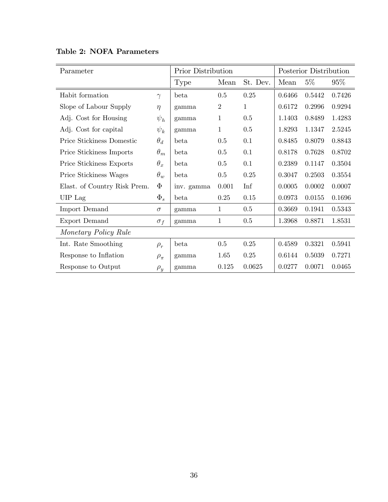| Parameter                    |              | Prior Distribution |                |          | Posterior Distribution |        |        |
|------------------------------|--------------|--------------------|----------------|----------|------------------------|--------|--------|
|                              |              | Type               | Mean           | St. Dev. | Mean                   | $5\%$  | $95\%$ |
| Habit formation              | $\gamma$     | beta               | 0.5            | 0.25     | 0.6466                 | 0.5442 | 0.7426 |
| Slope of Labour Supply       | $\eta$       | gamma              | $\overline{2}$ | 1        | 0.6172                 | 0.2996 | 0.9294 |
| Adj. Cost for Housing        | $\psi_h$     | gamma              | $\mathbf 1$    | 0.5      | 1.1403                 | 0.8489 | 1.4283 |
| Adj. Cost for capital        | $\psi_k$     | gamma              | $\mathbf 1$    | 0.5      | 1.8293                 | 1.1347 | 2.5245 |
| Price Stickiness Domestic    | $\theta_d$   | beta               | 0.5            | 0.1      | 0.8485                 | 0.8079 | 0.8843 |
| Price Stickiness Imports     | $\theta_m$   | beta               | 0.5            | 0.1      | 0.8178                 | 0.7628 | 0.8702 |
| Price Stickiness Exports     | $\theta_x$   | beta               | 0.5            | 0.1      | 0.2389                 | 0.1147 | 0.3504 |
| Price Stickiness Wages       | $\theta_w$   | beta               | $0.5\,$        | 0.25     | 0.3047                 | 0.2503 | 0.3554 |
| Elast. of Country Risk Prem. | $\Phi$       | inv. gamma         | 0.001          | Inf      | 0.0005                 | 0.0002 | 0.0007 |
| UIP Lag                      | $\Phi_s$     | beta               | 0.25           | 0.15     | 0.0973                 | 0.0155 | 0.1696 |
| <b>Import Demand</b>         | $\sigma$     | gamma              | 1              | 0.5      | 0.3669                 | 0.1941 | 0.5343 |
| Export Demand                | $\sigma_f$   | gamma              | $\mathbf{1}$   | 0.5      | 1.3968                 | 0.8871 | 1.8531 |
| Monetary Policy Rule         |              |                    |                |          |                        |        |        |
| Int. Rate Smoothing          | $\rho_r$     | beta               | 0.5            | 0.25     | 0.4589                 | 0.3321 | 0.5941 |
| Response to Inflation        | $\rho_{\pi}$ | gamma              | 1.65           | 0.25     | 0.6144                 | 0.5039 | 0.7271 |
| Response to Output           | $\rho_y$     | gamma              | 0.125          | 0.0625   | 0.0277                 | 0.0071 | 0.0465 |

### Table 2: NOFA Parameters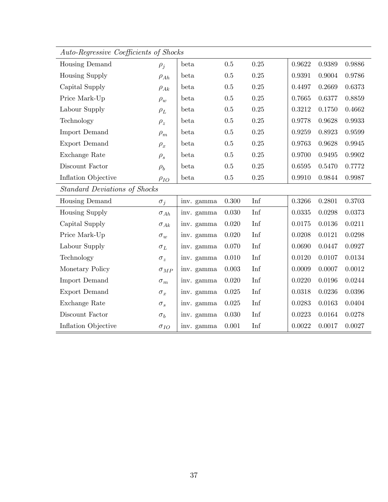| Auto-Regressive Coefficients of Shocks |               |            |         |                    |        |              |        |
|----------------------------------------|---------------|------------|---------|--------------------|--------|--------------|--------|
| Housing Demand                         | $\rho_j$      | beta       | 0.5     | 0.25               | 0.9622 | 0.9389       | 0.9886 |
| <b>Housing Supply</b>                  | $\rho_{Ah}$   | beta       | $0.5\,$ | $0.25\,$           | 0.9391 | 0.9004       | 0.9786 |
| Capital Supply                         | $\rho_{Ak}$   | beta       | 0.5     | 0.25               | 0.4497 | 0.2669       | 0.6373 |
| Price Mark-Up                          | $\rho_w$      | beta       | 0.5     | 0.25               | 0.7665 | 0.6377       | 0.8859 |
| Labour Supply                          | $\rho_L$      | beta       | $0.5\,$ | $0.25\,$           | 0.3212 | 0.1750       | 0.4662 |
| Technology                             | $\rho_z$      | beta       | $0.5\,$ | $0.25\,$           | 0.9778 | 0.9628       | 0.9933 |
| <b>Import Demand</b>                   | $\rho_m$      | beta       | 0.5     | 0.25               | 0.9259 | 0.8923       | 0.9599 |
| Export Demand                          | $\rho_x$      | beta       | $0.5\,$ | $0.25\,$           | 0.9763 | 0.9628       | 0.9945 |
| Exchange Rate                          | $\rho_s$      | beta       | 0.5     | 0.25               | 0.9700 | 0.9495       | 0.9902 |
| Discount Factor                        | $\rho_b$      | beta       | 0.5     | 0.25               | 0.6595 | 0.5470       | 0.7772 |
| Inflation Objective                    | $\rho_{IO}$   | beta       | 0.5     | $0.25\,$           | 0.9910 | 0.9844       | 0.9987 |
| <b>Standard Deviations of Shocks</b>   |               |            |         |                    |        |              |        |
| Housing Demand                         | $\sigma_j$    | inv. gamma | 0.300   | $\mathop{\rm Inf}$ | 0.3266 | 0.2801       | 0.3703 |
| <b>Housing Supply</b>                  | $\sigma_{Ah}$ | inv. gamma | 0.030   | Inf                | 0.0335 | 0.0298       | 0.0373 |
| Capital Supply                         | $\sigma_{Ak}$ | inv. gamma | 0.020   | $\mathop{\rm Inf}$ | 0.0175 | 0.0136       | 0.0211 |
| Price Mark-Up                          | $\sigma_w$    | inv. gamma | 0.020   | $\mathop{\rm Inf}$ | 0.0208 | 0.0121       | 0.0298 |
| Labour Supply                          | $\sigma_L$    | inv. gamma | 0.070   | $\mathop{\rm Inf}$ | 0.0690 | 0.0447       | 0.0927 |
| Technology                             | $\sigma_z$    | inv. gamma | 0.010   | $\mathop{\rm Inf}$ | 0.0120 | 0.0107       | 0.0134 |
| Monetary Policy                        | $\sigma_{MP}$ | inv. gamma | 0.003   | $\mathop{\rm Inf}$ | 0.0009 | 0.0007       | 0.0012 |
| <b>Import Demand</b>                   | $\sigma_m$    | inv. gamma | 0.020   | Inf                | 0.0220 | 0.0196       | 0.0244 |
| <b>Export Demand</b>                   | $\sigma_x$    | inv. gamma | 0.025   | Inf                | 0.0318 | 0.0236       | 0.0396 |
| Exchange Rate                          | $\sigma_s$    | inv. gamma | 0.025   | Inf                | 0.0283 | 0.0163       | 0.0404 |
| Discount Factor                        | $\sigma_b$    | inv. gamma | 0.030   | Inf                | 0.0223 | $\,0.0164\,$ | 0.0278 |
| Inflation Objective                    | $\sigma_{IO}$ | inv. gamma | 0.001   | Inf                | 0.0022 | 0.0017       | 0.0027 |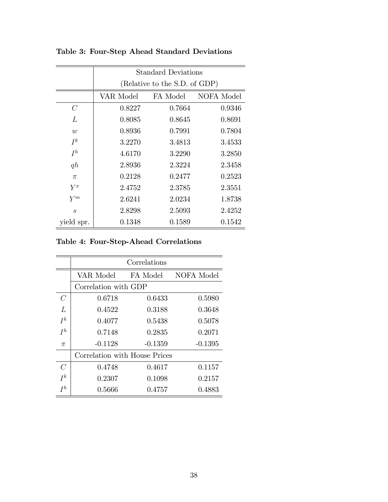|                   | <b>Standard Deviations</b>    |          |            |  |  |  |  |  |  |  |
|-------------------|-------------------------------|----------|------------|--|--|--|--|--|--|--|
|                   | (Relative to the S.D. of GDP) |          |            |  |  |  |  |  |  |  |
|                   | VAR Model                     | FA Model | NOFA Model |  |  |  |  |  |  |  |
| $\mathcal C$      | 0.8227                        | 0.7664   | 0.9346     |  |  |  |  |  |  |  |
| L                 | 0.8085                        | 0.8645   | 0.8691     |  |  |  |  |  |  |  |
| $\overline{w}$    | 0.8936                        | 0.7991   | 0.7804     |  |  |  |  |  |  |  |
| $I^k$             | 3.2270                        | 3.4813   | 3.4533     |  |  |  |  |  |  |  |
| $I^h$             | 4.6170                        | 3.2290   | 3.2850     |  |  |  |  |  |  |  |
| q h               | 2.8936                        | 2.3224   | 2.3458     |  |  |  |  |  |  |  |
| $\pi$             | 0.2128                        | 0.2477   | 0.2523     |  |  |  |  |  |  |  |
| $Y^x$             | 2.4752                        | 2.3785   | 2.3551     |  |  |  |  |  |  |  |
| $\bar{Y}^m$       | 2.6241                        | 2.0234   | 1.8738     |  |  |  |  |  |  |  |
| $\mathcal{S}_{0}$ | 2.8298                        | 2.5093   | 2.4252     |  |  |  |  |  |  |  |
| vield spr.        | 0.1348                        | 0.1589   | 0.1542     |  |  |  |  |  |  |  |

Table 3: Four-Step Ahead Standard Deviations

### Table 4: Four-Step-Ahead Correlations

|       | Correlations                        |           |           |  |  |  |  |  |
|-------|-------------------------------------|-----------|-----------|--|--|--|--|--|
|       | NOFA Model<br>VAR Model<br>FA Model |           |           |  |  |  |  |  |
|       | Correlation with GDP                |           |           |  |  |  |  |  |
| C     | 0.6718                              | 0.6433    | 0.5980    |  |  |  |  |  |
| L     | 0.4522                              | 0.3188    | 0.3648    |  |  |  |  |  |
| $I^k$ | 0.4077                              | 0.5438    | 0.5078    |  |  |  |  |  |
| $I^h$ | 0.7148                              | 0.2835    | 0.2071    |  |  |  |  |  |
| π     | $-0.1128$                           | $-0.1359$ | $-0.1395$ |  |  |  |  |  |
|       | Correlation with House Prices       |           |           |  |  |  |  |  |
| $\,C$ | 0.4748                              | 0.4617    | 0.1157    |  |  |  |  |  |
| $I^k$ | 0.2307                              | 0.1098    | 0.2157    |  |  |  |  |  |
| $I^h$ | 0.5666                              | 0.4757    | 0.4883    |  |  |  |  |  |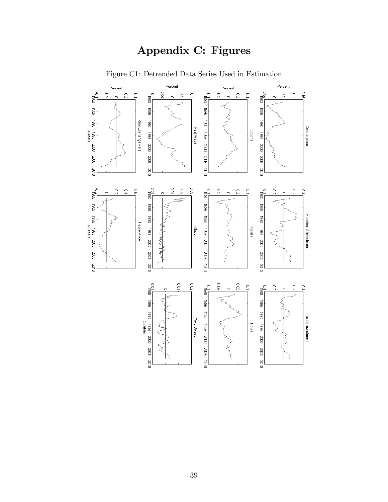## Appendix C: Figures



Figure C1: Detrended Data Series Used in Estimation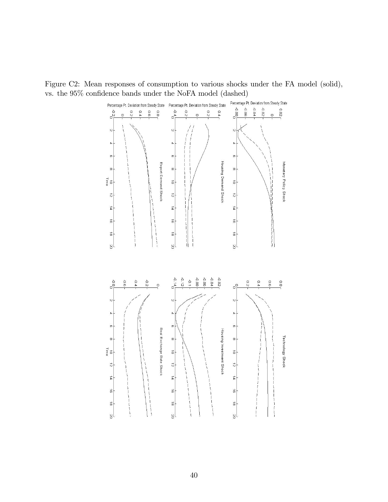Figure C2: Mean responses of consumption to various shocks under the FA model (solid), vs. the  $95\%$  confidence bands under the NoFA model (dashed)

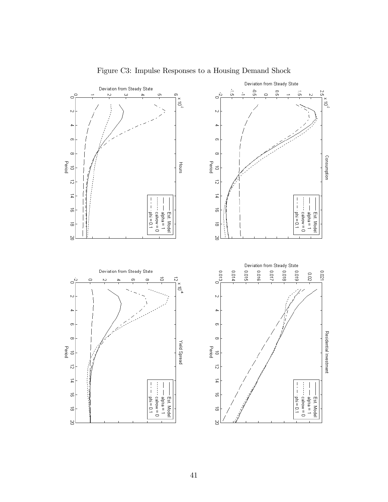

Figure C3: Impulse Responses to a Housing Demand Shock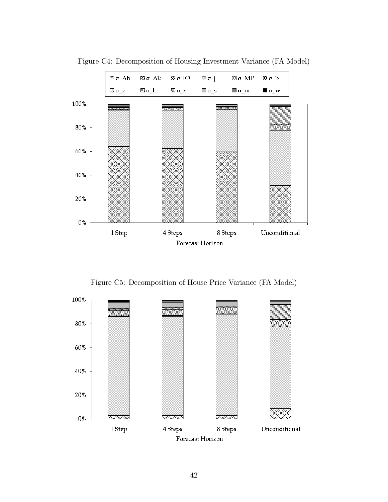

Figure C4: Decomposition of Housing Investment Variance (FA Model)

Figure C5: Decomposition of House Price Variance (FA Model)

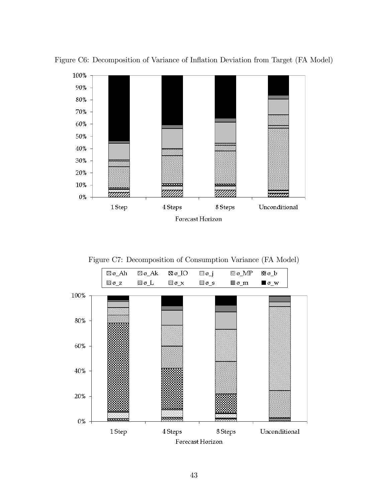

Figure C6: Decomposition of Variance of Inflation Deviation from Target (FA Model)

Figure C7: Decomposition of Consumption Variance (FA Model)

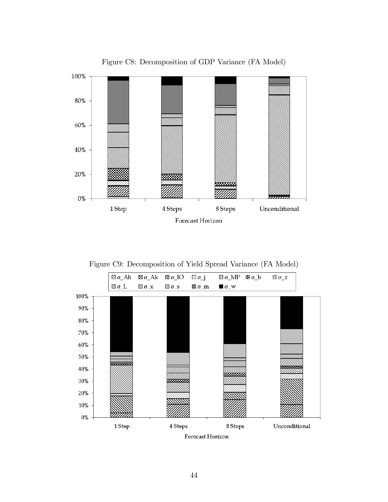

Figure C8: Decomposition of GDP Variance (FA Model)

Figure C9: Decomposition of Yield Spread Variance (FA Model)